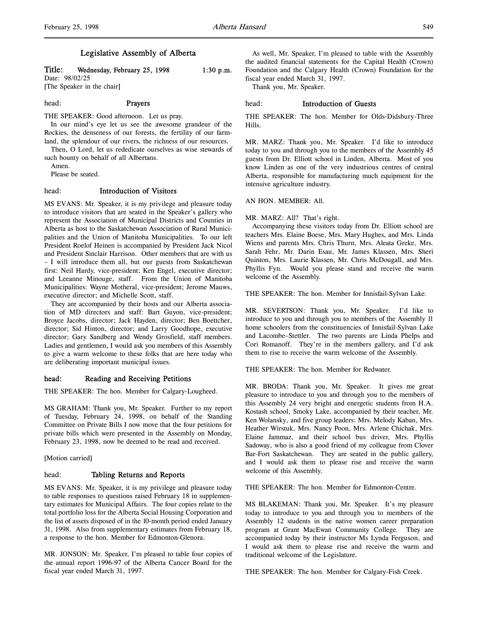# Legislative Assembly of Alberta

# Title: Wednesday, February 25, 1998  $1:30 \text{ p.m.}$ Date: 98/02/25

[The Speaker in the chair]

# head: Prayers

THE SPEAKER: Good afternoon. Let us pray.

In our mind's eye let us see the awesome grandeur of the Rockies, the denseness of our forests, the fertility of our farmland, the splendour of our rivers, the richness of our resources.

Then, O Lord, let us rededicate ourselves as wise stewards of such bounty on behalf of all Albertans.

Amen.

Please be seated.

### head: Introduction of Visitors

MS EVANS: Mr. Speaker, it is my privilege and pleasure today to introduce visitors that are seated in the Speaker's gallery who represent the Association of Municipal Districts and Counties in Alberta as host to the Saskatchewan Association of Rural Municipalities and the Union of Manitoba Municipalities. To our left President Roelof Heinen is accompanied by President Jack Nicol and President Sinclair Harrison. Other members that are with us – I will introduce them all, but our guests from Saskatchewan first: Neil Hardy, vice-president; Ken Engel, executive director; and Leeanne Minouge, staff. From the Union of Manitoba Municipalities: Wayne Motheral, vice-president; Jerome Mauws, executive director; and Michelle Scott, staff.

They are accompanied by their hosts and our Alberta association of MD directors and staff: Bart Guyon, vice-president; Broyce Jacobs, director; Jack Hayden, director; Ben Boettcher, director; Sid Hinton, director; and Larry Goodhope, executive director; Gary Sandberg and Wendy Grosfield, staff members. Ladies and gentlemen, I would ask you members of this Assembly to give a warm welcome to these folks that are here today who are deliberating important municipal issues.

### head: Reading and Receiving Petitions

THE SPEAKER: The hon. Member for Calgary-Lougheed.

MS GRAHAM: Thank you, Mr. Speaker. Further to my report of Tuesday, February 24, 1998, on behalf of the Standing Committee on Private Bills I now move that the four petitions for private bills which were presented in the Assembly on Monday, February 23, 1998, now be deemed to be read and received.

[Motion carried]

### head: Tabling Returns and Reports

MS EVANS: Mr. Speaker, it is my privilege and pleasure today to table responses to questions raised February 18 in supplementary estimates for Municipal Affairs. The four copies relate to the total portfolio loss for the Alberta Social Housing Corporation and the list of assets disposed of in the 10-month period ended January 31, 1998. Also from supplementary estimates from February 18, a response to the hon. Member for Edmonton-Glenora.

MR. JONSON: Mr. Speaker, I'm pleased to table four copies of the annual report 1996-97 of the Alberta Cancer Board for the fiscal year ended March 31, 1997.

As well, Mr. Speaker, I'm pleased to table with the Assembly the audited financial statements for the Capital Health (Crown) Foundation and the Calgary Health (Crown) Foundation for the fiscal year ended March 31, 1997.

Thank you, Mr. Speaker.

### head: Introduction of Guests

THE SPEAKER: The hon. Member for Olds-Didsbury-Three Hills.

MR. MARZ: Thank you, Mr. Speaker. I'd like to introduce today to you and through you to the members of the Assembly 45 guests from Dr. Elliott school in Linden, Alberta. Most of you know Linden as one of the very industrious centres of central Alberta, responsible for manufacturing much equipment for the intensive agriculture industry.

### AN HON. MEMBER: All.

### MR. MARZ: All? That's right.

Accompanying these visitors today from Dr. Elliott school are teachers Mrs. Elaine Boese, Mrs. Mary Hughes, and Mrs. Linda Wiens and parents Mrs. Chris Thurn, Mrs. Aleata Greke, Mrs. Sarah Fehr, Mr. Darin Esau, Mr. James Klassen, Mrs. Sheri Quinton, Mrs. Laurie Klassen, Mr. Chris McDougall, and Mrs. Phyllis Fyn. Would you please stand and receive the warm welcome of the Assembly.

THE SPEAKER: The hon. Member for Innisfail-Sylvan Lake.

MR. SEVERTSON: Thank you, Mr. Speaker. I'd like to introduce to you and through you to members of the Assembly 11 home schoolers from the constituencies of Innisfail-Sylvan Lake and Lacombe–Stettler. The two parents are Linda Phelps and Cori Romanoff. They're in the members gallery, and I'd ask them to rise to receive the warm welcome of the Assembly.

THE SPEAKER: The hon. Member for Redwater.

MR. BRODA: Thank you, Mr. Speaker. It gives me great pleasure to introduce to you and through you to the members of this Assembly 24 very bright and energetic students from H.A. Kostash school, Smoky Lake, accompanied by their teacher, Mr. Ken Wolansky, and five group leaders: Mrs. Melody Kaban, Mrs. Heather Wirstuk, Mrs. Nancy Poon, Mrs. Arlene Chichak, Mrs. Elaine Jammaz, and their school bus driver, Mrs. Phyllis Sadoway, who is also a good friend of my colleague from Clover Bar-Fort Saskatchewan. They are seated in the public gallery, and I would ask them to please rise and receive the warm welcome of this Assembly.

THE SPEAKER: The hon. Member for Edmonton-Centre.

MS BLAKEMAN: Thank you, Mr. Speaker. It's my pleasure today to introduce to you and through you to members of the Assembly 12 students in the native women career preparation program at Grant MacEwan Community College. They are accompanied today by their instructor Ms Lynda Ferguson, and I would ask them to please rise and receive the warm and traditional welcome of the Legislature.

THE SPEAKER: The hon. Member for Calgary-Fish Creek.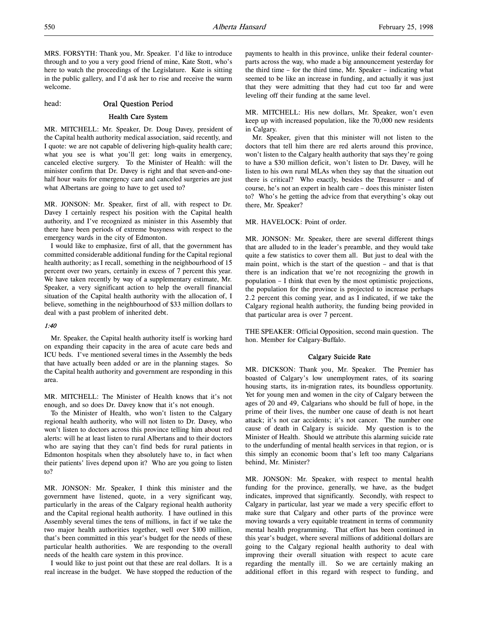MRS. FORSYTH: Thank you, Mr. Speaker. I'd like to introduce through and to you a very good friend of mine, Kate Stott, who's here to watch the proceedings of the Legislature. Kate is sitting in the public gallery, and I'd ask her to rise and receive the warm welcome.

head: Oral Question Period

# Health Care System

MR. MITCHELL: Mr. Speaker, Dr. Doug Davey, president of the Capital health authority medical association, said recently, and I quote: we are not capable of delivering high-quality health care; what you see is what you'll get: long waits in emergency, canceled elective surgery. To the Minister of Health: will the minister confirm that Dr. Davey is right and that seven-and-onehalf hour waits for emergency care and canceled surgeries are just what Albertans are going to have to get used to?

MR. JONSON: Mr. Speaker, first of all, with respect to Dr. Davey I certainly respect his position with the Capital health authority, and I've recognized as minister in this Assembly that there have been periods of extreme busyness with respect to the emergency wards in the city of Edmonton.

I would like to emphasize, first of all, that the government has committed considerable additional funding for the Capital regional health authority; as I recall, something in the neighbourhood of 15 percent over two years, certainly in excess of 7 percent this year. We have taken recently by way of a supplementary estimate, Mr. Speaker, a very significant action to help the overall financial situation of the Capital health authority with the allocation of, I believe, something in the neighbourhood of \$33 million dollars to deal with a past problem of inherited debt.

#### 1:40

Mr. Speaker, the Capital health authority itself is working hard on expanding their capacity in the area of acute care beds and ICU beds. I've mentioned several times in the Assembly the beds that have actually been added or are in the planning stages. So the Capital health authority and government are responding in this area.

MR. MITCHELL: The Minister of Health knows that it's not enough, and so does Dr. Davey know that it's not enough.

To the Minister of Health, who won't listen to the Calgary regional health authority, who will not listen to Dr. Davey, who won't listen to doctors across this province telling him about red alerts: will he at least listen to rural Albertans and to their doctors who are saying that they can't find beds for rural patients in Edmonton hospitals when they absolutely have to, in fact when their patients' lives depend upon it? Who are you going to listen to?

MR. JONSON: Mr. Speaker, I think this minister and the government have listened, quote, in a very significant way, particularly in the areas of the Calgary regional health authority and the Capital regional health authority. I have outlined in this Assembly several times the tens of millions, in fact if we take the two major health authorities together, well over \$100 million, that's been committed in this year's budget for the needs of these particular health authorities. We are responding to the overall needs of the health care system in this province.

I would like to just point out that these are real dollars. It is a real increase in the budget. We have stopped the reduction of the payments to health in this province, unlike their federal counterparts across the way, who made a big announcement yesterday for the third time – for the third time, Mr. Speaker – indicating what seemed to be like an increase in funding, and actually it was just that they were admitting that they had cut too far and were leveling off their funding at the same level.

MR. MITCHELL: His new dollars, Mr. Speaker, won't even keep up with increased population, like the 70,000 new residents in Calgary.

Mr. Speaker, given that this minister will not listen to the doctors that tell him there are red alerts around this province, won't listen to the Calgary health authority that says they're going to have a \$30 million deficit, won't listen to Dr. Davey, will he listen to his own rural MLAs when they say that the situation out there is critical? Who exactly, besides the Treasurer – and of course, he's not an expert in health care – does this minister listen to? Who's he getting the advice from that everything's okay out there, Mr. Speaker?

MR. HAVELOCK: Point of order.

MR. JONSON: Mr. Speaker, there are several different things that are alluded to in the leader's preamble, and they would take quite a few statistics to cover them all. But just to deal with the main point, which is the start of the question – and that is that there is an indication that we're not recognizing the growth in population – I think that even by the most optimistic projections, the population for the province is projected to increase perhaps 2.2 percent this coming year, and as I indicated, if we take the Calgary regional health authority, the funding being provided in that particular area is over 7 percent.

THE SPEAKER: Official Opposition, second main question. The hon. Member for Calgary-Buffalo.

### Calgary Suicide Rate

MR. DICKSON: Thank you, Mr. Speaker. The Premier has boasted of Calgary's low unemployment rates, of its soaring housing starts, its in-migration rates, its boundless opportunity. Yet for young men and women in the city of Calgary between the ages of 20 and 49, Calgarians who should be full of hope, in the prime of their lives, the number one cause of death is not heart attack; it's not car accidents; it's not cancer. The number one cause of death in Calgary is suicide. My question is to the Minister of Health. Should we attribute this alarming suicide rate to the underfunding of mental health services in that region, or is this simply an economic boom that's left too many Calgarians behind, Mr. Minister?

MR. JONSON: Mr. Speaker, with respect to mental health funding for the province, generally, we have, as the budget indicates, improved that significantly. Secondly, with respect to Calgary in particular, last year we made a very specific effort to make sure that Calgary and other parts of the province were moving towards a very equitable treatment in terms of community mental health programming. That effort has been continued in this year's budget, where several millions of additional dollars are going to the Calgary regional health authority to deal with improving their overall situation with respect to acute care regarding the mentally ill. So we are certainly making an additional effort in this regard with respect to funding, and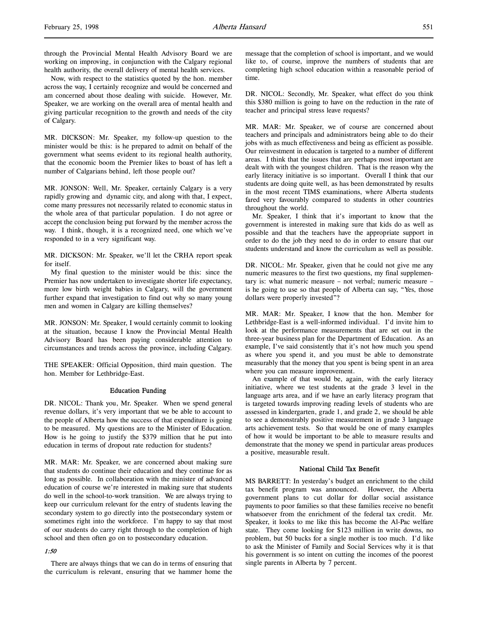through the Provincial Mental Health Advisory Board we are working on improving, in conjunction with the Calgary regional health authority, the overall delivery of mental health services.

Now, with respect to the statistics quoted by the hon. member across the way, I certainly recognize and would be concerned and am concerned about those dealing with suicide. However, Mr. Speaker, we are working on the overall area of mental health and giving particular recognition to the growth and needs of the city of Calgary.

MR. DICKSON: Mr. Speaker, my follow-up question to the minister would be this: is he prepared to admit on behalf of the government what seems evident to its regional health authority, that the economic boom the Premier likes to boast of has left a number of Calgarians behind, left those people out?

MR. JONSON: Well, Mr. Speaker, certainly Calgary is a very rapidly growing and dynamic city, and along with that, I expect, come many pressures not necessarily related to economic status in the whole area of that particular population. I do not agree or accept the conclusion being put forward by the member across the way. I think, though, it is a recognized need, one which we've responded to in a very significant way.

MR. DICKSON: Mr. Speaker, we'll let the CRHA report speak for itself.

My final question to the minister would be this: since the Premier has now undertaken to investigate shorter life expectancy, more low birth weight babies in Calgary, will the government further expand that investigation to find out why so many young men and women in Calgary are killing themselves?

MR. JONSON: Mr. Speaker, I would certainly commit to looking at the situation, because I know the Provincial Mental Health Advisory Board has been paying considerable attention to circumstances and trends across the province, including Calgary.

THE SPEAKER: Official Opposition, third main question. The hon. Member for Lethbridge-East.

### Education Funding

DR. NICOL: Thank you, Mr. Speaker. When we spend general revenue dollars, it's very important that we be able to account to the people of Alberta how the success of that expenditure is going to be measured. My questions are to the Minister of Education. How is he going to justify the \$379 million that he put into education in terms of dropout rate reduction for students?

MR. MAR: Mr. Speaker, we are concerned about making sure that students do continue their education and they continue for as long as possible. In collaboration with the minister of advanced education of course we're interested in making sure that students do well in the school-to-work transition. We are always trying to keep our curriculum relevant for the entry of students leaving the secondary system to go directly into the postsecondary system or sometimes right into the workforce. I'm happy to say that most of our students do carry right through to the completion of high school and then often go on to postsecondary education.

### 1:50

There are always things that we can do in terms of ensuring that the curriculum is relevant, ensuring that we hammer home the

message that the completion of school is important, and we would like to, of course, improve the numbers of students that are completing high school education within a reasonable period of time.

DR. NICOL: Secondly, Mr. Speaker, what effect do you think this \$380 million is going to have on the reduction in the rate of teacher and principal stress leave requests?

MR. MAR: Mr. Speaker, we of course are concerned about teachers and principals and administrators being able to do their jobs with as much effectiveness and being as efficient as possible. Our reinvestment in education is targeted to a number of different areas. I think that the issues that are perhaps most important are dealt with with the youngest children. That is the reason why the early literacy initiative is so important. Overall I think that our students are doing quite well, as has been demonstrated by results in the most recent TIMS examinations, where Alberta students fared very favourably compared to students in other countries throughout the world.

Mr. Speaker, I think that it's important to know that the government is interested in making sure that kids do as well as possible and that the teachers have the appropriate support in order to do the job they need to do in order to ensure that our students understand and know the curriculum as well as possible.

DR. NICOL: Mr. Speaker, given that he could not give me any numeric measures to the first two questions, my final supplementary is: what numeric measure – not verbal; numeric measure – is he going to use so that people of Alberta can say, "Yes, those dollars were properly invested"?

MR. MAR: Mr. Speaker, I know that the hon. Member for Lethbridge-East is a well-informed individual. I'd invite him to look at the performance measurements that are set out in the three-year business plan for the Department of Education. As an example, I've said consistently that it's not how much you spend as where you spend it, and you must be able to demonstrate measurably that the money that you spent is being spent in an area where you can measure improvement.

An example of that would be, again, with the early literacy initiative, where we test students at the grade 3 level in the language arts area, and if we have an early literacy program that is targeted towards improving reading levels of students who are assessed in kindergarten, grade 1, and grade 2, we should be able to see a demonstrably positive measurement in grade 3 language arts achievement tests. So that would be one of many examples of how it would be important to be able to measure results and demonstrate that the money we spend in particular areas produces a positive, measurable result.

## National Child Tax Benefit

MS BARRETT: In yesterday's budget an enrichment to the child tax benefit program was announced. However, the Alberta government plans to cut dollar for dollar social assistance payments to poor families so that these families receive no benefit whatsoever from the enrichment of the federal tax credit. Mr. Speaker, it looks to me like this has become the Al-Pac welfare state. They come looking for \$123 million in write downs, no problem, but 50 bucks for a single mother is too much. I'd like to ask the Minister of Family and Social Services why it is that his government is so intent on cutting the incomes of the poorest single parents in Alberta by 7 percent.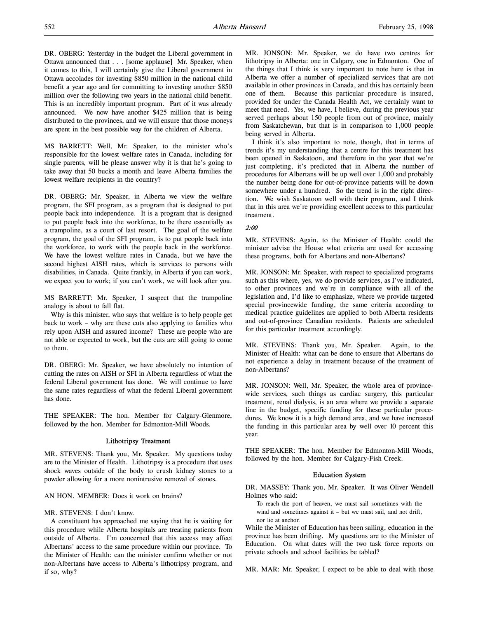DR. OBERG: Yesterday in the budget the Liberal government in Ottawa announced that . . . [some applause] Mr. Speaker, when it comes to this, I will certainly give the Liberal government in Ottawa accolades for investing \$850 million in the national child benefit a year ago and for committing to investing another \$850 million over the following two years in the national child benefit. This is an incredibly important program. Part of it was already announced. We now have another \$425 million that is being distributed to the provinces, and we will ensure that those moneys are spent in the best possible way for the children of Alberta.

MS BARRETT: Well, Mr. Speaker, to the minister who's responsible for the lowest welfare rates in Canada, including for single parents, will he please answer why it is that he's going to take away that 50 bucks a month and leave Alberta families the lowest welfare recipients in the country?

DR. OBERG: Mr. Speaker, in Alberta we view the welfare program, the SFI program, as a program that is designed to put people back into independence. It is a program that is designed to put people back into the workforce, to be there essentially as a trampoline, as a court of last resort. The goal of the welfare program, the goal of the SFI program, is to put people back into the workforce, to work with the people back in the workforce. We have the lowest welfare rates in Canada, but we have the second highest AISH rates, which is services to persons with disabilities, in Canada. Quite frankly, in Alberta if you can work, we expect you to work; if you can't work, we will look after you.

MS BARRETT: Mr. Speaker, I suspect that the trampoline analogy is about to fall flat.

Why is this minister, who says that welfare is to help people get back to work – why are these cuts also applying to families who rely upon AISH and assured income? These are people who are not able or expected to work, but the cuts are still going to come to them.

DR. OBERG: Mr. Speaker, we have absolutely no intention of cutting the rates on AISH or SFI in Alberta regardless of what the federal Liberal government has done. We will continue to have the same rates regardless of what the federal Liberal government has done.

THE SPEAKER: The hon. Member for Calgary-Glenmore, followed by the hon. Member for Edmonton-Mill Woods.

### Lithotripsy Treatment

MR. STEVENS: Thank you, Mr. Speaker. My questions today are to the Minister of Health. Lithotripsy is a procedure that uses shock waves outside of the body to crush kidney stones to a powder allowing for a more nonintrusive removal of stones.

### AN HON. MEMBER: Does it work on brains?

### MR. STEVENS: I don't know.

A constituent has approached me saying that he is waiting for this procedure while Alberta hospitals are treating patients from outside of Alberta. I'm concerned that this access may affect Albertans' access to the same procedure within our province. To the Minister of Health: can the minister confirm whether or not non-Albertans have access to Alberta's lithotripsy program, and if so, why?

MR. JONSON: Mr. Speaker, we do have two centres for lithotripsy in Alberta: one in Calgary, one in Edmonton. One of the things that I think is very important to note here is that in Alberta we offer a number of specialized services that are not available in other provinces in Canada, and this has certainly been one of them. Because this particular procedure is insured, provided for under the Canada Health Act, we certainly want to meet that need. Yes, we have, I believe, during the previous year served perhaps about 150 people from out of province, mainly from Saskatchewan, but that is in comparison to 1,000 people being served in Alberta.

I think it's also important to note, though, that in terms of trends it's my understanding that a centre for this treatment has been opened in Saskatoon, and therefore in the year that we're just completing, it's predicted that in Alberta the number of procedures for Albertans will be up well over 1,000 and probably the number being done for out-of-province patients will be down somewhere under a hundred. So the trend is in the right direction. We wish Saskatoon well with their program, and I think that in this area we're providing excellent access to this particular treatment.

### 2:00

MR. STEVENS: Again, to the Minister of Health: could the minister advise the House what criteria are used for accessing these programs, both for Albertans and non-Albertans?

MR. JONSON: Mr. Speaker, with respect to specialized programs such as this where, yes, we do provide services, as I've indicated, to other provinces and we're in compliance with all of the legislation and, I'd like to emphasize, where we provide targeted special provincewide funding, the same criteria according to medical practice guidelines are applied to both Alberta residents and out-of-province Canadian residents. Patients are scheduled for this particular treatment accordingly.

MR. STEVENS: Thank you, Mr. Speaker. Again, to the Minister of Health: what can be done to ensure that Albertans do not experience a delay in treatment because of the treatment of non-Albertans?

MR. JONSON: Well, Mr. Speaker, the whole area of provincewide services, such things as cardiac surgery, this particular treatment, renal dialysis, is an area where we provide a separate line in the budget, specific funding for these particular procedures. We know it is a high demand area, and we have increased the funding in this particular area by well over 10 percent this year.

THE SPEAKER: The hon. Member for Edmonton-Mill Woods, followed by the hon. Member for Calgary-Fish Creek.

#### Education System

DR. MASSEY: Thank you, Mr. Speaker. It was Oliver Wendell Holmes who said:

To reach the port of heaven, we must sail sometimes with the wind and sometimes against it – but we must sail, and not drift, nor lie at anchor.

While the Minister of Education has been sailing, education in the province has been drifting. My questions are to the Minister of Education. On what dates will the two task force reports on private schools and school facilities be tabled?

MR. MAR: Mr. Speaker, I expect to be able to deal with those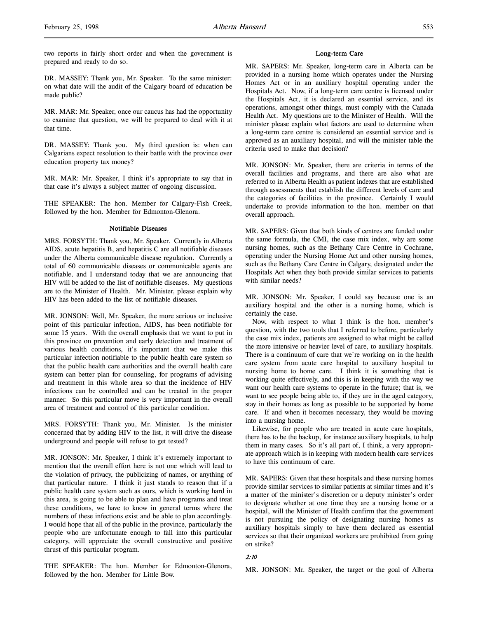two reports in fairly short order and when the government is prepared and ready to do so.

DR. MASSEY: Thank you, Mr. Speaker. To the same minister: on what date will the audit of the Calgary board of education be made public?

MR. MAR: Mr. Speaker, once our caucus has had the opportunity to examine that question, we will be prepared to deal with it at that time.

DR. MASSEY: Thank you. My third question is: when can Calgarians expect resolution to their battle with the province over education property tax money?

MR. MAR: Mr. Speaker, I think it's appropriate to say that in that case it's always a subject matter of ongoing discussion.

THE SPEAKER: The hon. Member for Calgary-Fish Creek, followed by the hon. Member for Edmonton-Glenora.

#### Notifiable Diseases

MRS. FORSYTH: Thank you, Mr. Speaker. Currently in Alberta AIDS, acute hepatitis B, and hepatitis C are all notifiable diseases under the Alberta communicable disease regulation. Currently a total of 60 communicable diseases or communicable agents are notifiable, and I understand today that we are announcing that HIV will be added to the list of notifiable diseases. My questions are to the Minister of Health. Mr. Minister, please explain why HIV has been added to the list of notifiable diseases.

MR. JONSON: Well, Mr. Speaker, the more serious or inclusive point of this particular infection, AIDS, has been notifiable for some 15 years. With the overall emphasis that we want to put in this province on prevention and early detection and treatment of various health conditions, it's important that we make this particular infection notifiable to the public health care system so that the public health care authorities and the overall health care system can better plan for counseling, for programs of advising and treatment in this whole area so that the incidence of HIV infections can be controlled and can be treated in the proper manner. So this particular move is very important in the overall area of treatment and control of this particular condition.

MRS. FORSYTH: Thank you, Mr. Minister. Is the minister concerned that by adding HIV to the list, it will drive the disease underground and people will refuse to get tested?

MR. JONSON: Mr. Speaker, I think it's extremely important to mention that the overall effort here is not one which will lead to the violation of privacy, the publicizing of names, or anything of that particular nature. I think it just stands to reason that if a public health care system such as ours, which is working hard in this area, is going to be able to plan and have programs and treat these conditions, we have to know in general terms where the numbers of these infections exist and be able to plan accordingly. I would hope that all of the public in the province, particularly the people who are unfortunate enough to fall into this particular category, will appreciate the overall constructive and positive thrust of this particular program.

THE SPEAKER: The hon. Member for Edmonton-Glenora, followed by the hon. Member for Little Bow.

#### Long-term Care

MR. SAPERS: Mr. Speaker, long-term care in Alberta can be provided in a nursing home which operates under the Nursing Homes Act or in an auxiliary hospital operating under the Hospitals Act. Now, if a long-term care centre is licensed under the Hospitals Act, it is declared an essential service, and its operations, amongst other things, must comply with the Canada Health Act. My questions are to the Minister of Health. Will the minister please explain what factors are used to determine when a long-term care centre is considered an essential service and is approved as an auxiliary hospital, and will the minister table the criteria used to make that decision?

MR. JONSON: Mr. Speaker, there are criteria in terms of the overall facilities and programs, and there are also what are referred to in Alberta Health as patient indexes that are established through assessments that establish the different levels of care and the categories of facilities in the province. Certainly I would undertake to provide information to the hon. member on that overall approach.

MR. SAPERS: Given that both kinds of centres are funded under the same formula, the CMI, the case mix index, why are some nursing homes, such as the Bethany Care Centre in Cochrane, operating under the Nursing Home Act and other nursing homes, such as the Bethany Care Centre in Calgary, designated under the Hospitals Act when they both provide similar services to patients with similar needs?

MR. JONSON: Mr. Speaker, I could say because one is an auxiliary hospital and the other is a nursing home, which is certainly the case.

Now, with respect to what I think is the hon. member's question, with the two tools that I referred to before, particularly the case mix index, patients are assigned to what might be called the more intensive or heavier level of care, to auxiliary hospitals. There is a continuum of care that we're working on in the health care system from acute care hospital to auxiliary hospital to nursing home to home care. I think it is something that is working quite effectively, and this is in keeping with the way we want our health care systems to operate in the future; that is, we want to see people being able to, if they are in the aged category, stay in their homes as long as possible to be supported by home care. If and when it becomes necessary, they would be moving into a nursing home.

Likewise, for people who are treated in acute care hospitals, there has to be the backup, for instance auxiliary hospitals, to help them in many cases. So it's all part of, I think, a very appropriate approach which is in keeping with modern health care services to have this continuum of care.

MR. SAPERS: Given that these hospitals and these nursing homes provide similar services to similar patients at similar times and it's a matter of the minister's discretion or a deputy minister's order to designate whether at one time they are a nursing home or a hospital, will the Minister of Health confirm that the government is not pursuing the policy of designating nursing homes as auxiliary hospitals simply to have them declared as essential services so that their organized workers are prohibited from going on strike?

### 2:10

MR. JONSON: Mr. Speaker, the target or the goal of Alberta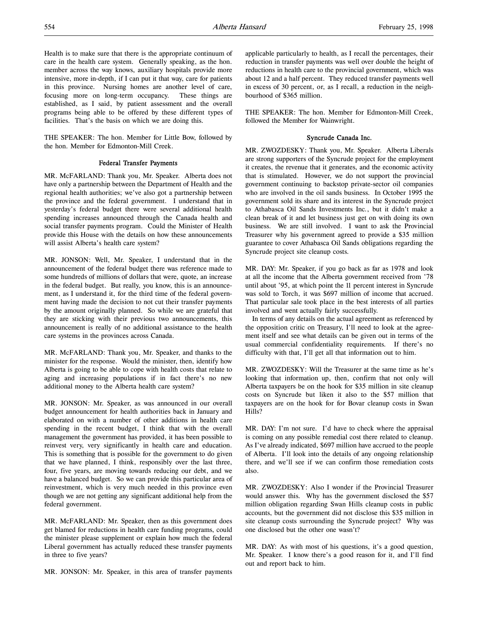Health is to make sure that there is the appropriate continuum of care in the health care system. Generally speaking, as the hon. member across the way knows, auxiliary hospitals provide more intensive, more in-depth, if I can put it that way, care for patients in this province. Nursing homes are another level of care, focusing more on long-term occupancy. These things are established, as I said, by patient assessment and the overall programs being able to be offered by these different types of facilities. That's the basis on which we are doing this.

THE SPEAKER: The hon. Member for Little Bow, followed by the hon. Member for Edmonton-Mill Creek.

## Federal Transfer Payments

MR. McFARLAND: Thank you, Mr. Speaker. Alberta does not have only a partnership between the Department of Health and the regional health authorities; we've also got a partnership between the province and the federal government. I understand that in yesterday's federal budget there were several additional health spending increases announced through the Canada health and social transfer payments program. Could the Minister of Health provide this House with the details on how these announcements will assist Alberta's health care system?

MR. JONSON: Well, Mr. Speaker, I understand that in the announcement of the federal budget there was reference made to some hundreds of millions of dollars that were, quote, an increase in the federal budget. But really, you know, this is an announcement, as I understand it, for the third time of the federal government having made the decision to not cut their transfer payments by the amount originally planned. So while we are grateful that they are sticking with their previous two announcements, this announcement is really of no additional assistance to the health care systems in the provinces across Canada.

MR. McFARLAND: Thank you, Mr. Speaker, and thanks to the minister for the response. Would the minister, then, identify how Alberta is going to be able to cope with health costs that relate to aging and increasing populations if in fact there's no new additional money to the Alberta health care system?

MR. JONSON: Mr. Speaker, as was announced in our overall budget announcement for health authorities back in January and elaborated on with a number of other additions in health care spending in the recent budget, I think that with the overall management the government has provided, it has been possible to reinvest very, very significantly in health care and education. This is something that is possible for the government to do given that we have planned, I think, responsibly over the last three, four, five years, are moving towards reducing our debt, and we have a balanced budget. So we can provide this particular area of reinvestment, which is very much needed in this province even though we are not getting any significant additional help from the federal government.

MR. McFARLAND: Mr. Speaker, then as this government does get blamed for reductions in health care funding programs, could the minister please supplement or explain how much the federal Liberal government has actually reduced these transfer payments in three to five years?

MR. JONSON: Mr. Speaker, in this area of transfer payments

applicable particularly to health, as I recall the percentages, their reduction in transfer payments was well over double the height of reductions in health care to the provincial government, which was about 12 and a half percent. They reduced transfer payments well in excess of 30 percent, or, as I recall, a reduction in the neighbourhood of \$365 million.

THE SPEAKER: The hon. Member for Edmonton-Mill Creek, followed the Member for Wainwright.

### Syncrude Canada Inc.

MR. ZWOZDESKY: Thank you, Mr. Speaker. Alberta Liberals are strong supporters of the Syncrude project for the employment it creates, the revenue that it generates, and the economic activity that is stimulated. However, we do not support the provincial government continuing to backstop private-sector oil companies who are involved in the oil sands business. In October 1995 the government sold its share and its interest in the Syncrude project to Athabasca Oil Sands Investments Inc., but it didn't make a clean break of it and let business just get on with doing its own business. We are still involved. I want to ask the Provincial Treasurer why his government agreed to provide a \$35 million guarantee to cover Athabasca Oil Sands obligations regarding the Syncrude project site cleanup costs.

MR. DAY: Mr. Speaker, if you go back as far as 1978 and look at all the income that the Alberta government received from '78 until about '95, at which point the 11 percent interest in Syncrude was sold to Torch, it was \$697 million of income that accrued. That particular sale took place in the best interests of all parties involved and went actually fairly successfully.

In terms of any details on the actual agreement as referenced by the opposition critic on Treasury, I'll need to look at the agreement itself and see what details can be given out in terms of the usual commercial confidentiality requirements. If there's no difficulty with that, I'll get all that information out to him.

MR. ZWOZDESKY: Will the Treasurer at the same time as he's looking that information up, then, confirm that not only will Alberta taxpayers be on the hook for \$35 million in site cleanup costs on Syncrude but liken it also to the \$57 million that taxpayers are on the hook for for Bovar cleanup costs in Swan Hills?

MR. DAY: I'm not sure. I'd have to check where the appraisal is coming on any possible remedial cost there related to cleanup. As I've already indicated, \$697 million have accrued to the people of Alberta. I'll look into the details of any ongoing relationship there, and we'll see if we can confirm those remediation costs also.

MR. ZWOZDESKY: Also I wonder if the Provincial Treasurer would answer this. Why has the government disclosed the \$57 million obligation regarding Swan Hills cleanup costs in public accounts, but the government did not disclose this \$35 million in site cleanup costs surrounding the Syncrude project? Why was one disclosed but the other one wasn't?

MR. DAY: As with most of his questions, it's a good question, Mr. Speaker. I know there's a good reason for it, and I'll find out and report back to him.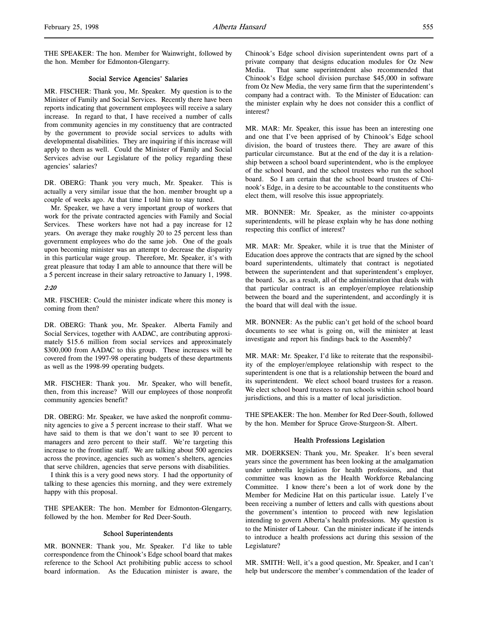THE SPEAKER: The hon. Member for Wainwright, followed by the hon. Member for Edmonton-Glengarry.

### Social Service Agencies' Salaries

MR. FISCHER: Thank you, Mr. Speaker. My question is to the Minister of Family and Social Services. Recently there have been reports indicating that government employees will receive a salary increase. In regard to that, I have received a number of calls from community agencies in my constituency that are contracted by the government to provide social services to adults with developmental disabilities. They are inquiring if this increase will apply to them as well. Could the Minister of Family and Social Services advise our Legislature of the policy regarding these agencies' salaries?

DR. OBERG: Thank you very much, Mr. Speaker. This is actually a very similar issue that the hon. member brought up a couple of weeks ago. At that time I told him to stay tuned.

Mr. Speaker, we have a very important group of workers that work for the private contracted agencies with Family and Social Services. These workers have not had a pay increase for 12 years. On average they make roughly 20 to 25 percent less than government employees who do the same job. One of the goals upon becoming minister was an attempt to decrease the disparity in this particular wage group. Therefore, Mr. Speaker, it's with great pleasure that today I am able to announce that there will be a 5 percent increase in their salary retroactive to January 1, 1998.

### 2:20

MR. FISCHER: Could the minister indicate where this money is coming from then?

DR. OBERG: Thank you, Mr. Speaker. Alberta Family and Social Services, together with AADAC, are contributing approximately \$15.6 million from social services and approximately \$300,000 from AADAC to this group. These increases will be covered from the 1997-98 operating budgets of these departments as well as the 1998-99 operating budgets.

MR. FISCHER: Thank you. Mr. Speaker, who will benefit, then, from this increase? Will our employees of those nonprofit community agencies benefit?

DR. OBERG: Mr. Speaker, we have asked the nonprofit community agencies to give a 5 percent increase to their staff. What we have said to them is that we don't want to see 10 percent to managers and zero percent to their staff. We're targeting this increase to the frontline staff. We are talking about 500 agencies across the province, agencies such as women's shelters, agencies that serve children, agencies that serve persons with disabilities.

I think this is a very good news story. I had the opportunity of talking to these agencies this morning, and they were extremely happy with this proposal.

THE SPEAKER: The hon. Member for Edmonton-Glengarry, followed by the hon. Member for Red Deer-South.

### School Superintendents

MR. BONNER: Thank you, Mr. Speaker. I'd like to table correspondence from the Chinook's Edge school board that makes reference to the School Act prohibiting public access to school board information. As the Education minister is aware, the

Chinook's Edge school division superintendent owns part of a private company that designs education modules for Oz New Media. That same superintendent also recommended that Chinook's Edge school division purchase \$45,000 in software from Oz New Media, the very same firm that the superintendent's company had a contract with. To the Minister of Education: can the minister explain why he does not consider this a conflict of interest?

MR. MAR: Mr. Speaker, this issue has been an interesting one and one that I've been apprised of by Chinook's Edge school division, the board of trustees there. They are aware of this particular circumstance. But at the end of the day it is a relationship between a school board superintendent, who is the employee of the school board, and the school trustees who run the school board. So I am certain that the school board trustees of Chinook's Edge, in a desire to be accountable to the constituents who elect them, will resolve this issue appropriately.

MR. BONNER: Mr. Speaker, as the minister co-appoints superintendents, will he please explain why he has done nothing respecting this conflict of interest?

MR. MAR: Mr. Speaker, while it is true that the Minister of Education does approve the contracts that are signed by the school board superintendents, ultimately that contract is negotiated between the superintendent and that superintendent's employer, the board. So, as a result, all of the administration that deals with that particular contract is an employer/employee relationship between the board and the superintendent, and accordingly it is the board that will deal with the issue.

MR. BONNER: As the public can't get hold of the school board documents to see what is going on, will the minister at least investigate and report his findings back to the Assembly?

MR. MAR: Mr. Speaker, I'd like to reiterate that the responsibility of the employer/employee relationship with respect to the superintendent is one that is a relationship between the board and its superintendent. We elect school board trustees for a reason. We elect school board trustees to run schools within school board jurisdictions, and this is a matter of local jurisdiction.

THE SPEAKER: The hon. Member for Red Deer-South, followed by the hon. Member for Spruce Grove-Sturgeon-St. Albert.

#### Health Professions Legislation

MR. DOERKSEN: Thank you, Mr. Speaker. It's been several years since the government has been looking at the amalgamation under umbrella legislation for health professions, and that committee was known as the Health Workforce Rebalancing Committee. I know there's been a lot of work done by the Member for Medicine Hat on this particular issue. Lately I've been receiving a number of letters and calls with questions about the government's intention to proceed with new legislation intending to govern Alberta's health professions. My question is to the Minister of Labour. Can the minister indicate if he intends to introduce a health professions act during this session of the Legislature?

MR. SMITH: Well, it's a good question, Mr. Speaker, and I can't help but underscore the member's commendation of the leader of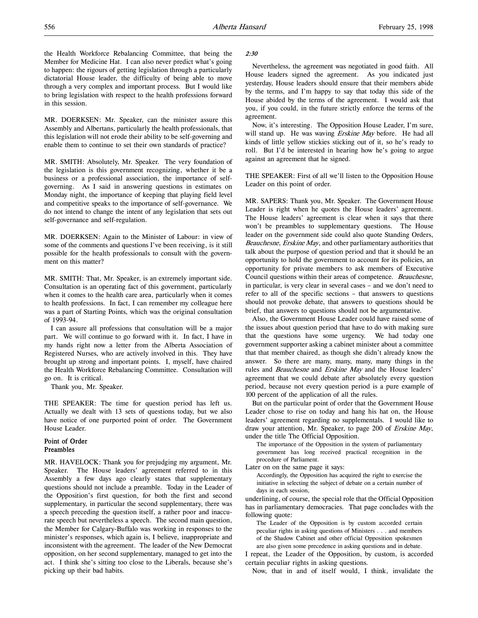the Health Workforce Rebalancing Committee, that being the Member for Medicine Hat. I can also never predict what's going to happen: the rigours of getting legislation through a particularly dictatorial House leader, the difficulty of being able to move through a very complex and important process. But I would like to bring legislation with respect to the health professions forward in this session.

MR. DOERKSEN: Mr. Speaker, can the minister assure this Assembly and Albertans, particularly the health professionals, that this legislation will not erode their ability to be self-governing and enable them to continue to set their own standards of practice?

MR. SMITH: Absolutely, Mr. Speaker. The very foundation of the legislation is this government recognizing, whether it be a business or a professional association, the importance of selfgoverning. As I said in answering questions in estimates on Monday night, the importance of keeping that playing field level and competitive speaks to the importance of self-governance. We do not intend to change the intent of any legislation that sets out self-governance and self-regulation.

MR. DOERKSEN: Again to the Minister of Labour: in view of some of the comments and questions I've been receiving, is it still possible for the health professionals to consult with the government on this matter?

MR. SMITH: That, Mr. Speaker, is an extremely important side. Consultation is an operating fact of this government, particularly when it comes to the health care area, particularly when it comes to health professions. In fact, I can remember my colleague here was a part of Starting Points, which was the original consultation of 1993-94.

I can assure all professions that consultation will be a major part. We will continue to go forward with it. In fact, I have in my hands right now a letter from the Alberta Association of Registered Nurses, who are actively involved in this. They have brought up strong and important points. I, myself, have chaired the Health Workforce Rebalancing Committee. Consultation will go on. It is critical.

Thank you, Mr. Speaker.

THE SPEAKER: The time for question period has left us. Actually we dealt with 13 sets of questions today, but we also have notice of one purported point of order. The Government House Leader.

### Point of Order Preambles

MR. HAVELOCK: Thank you for prejudging my argument, Mr. Speaker. The House leaders' agreement referred to in this Assembly a few days ago clearly states that supplementary questions should not include a preamble. Today in the Leader of the Opposition's first question, for both the first and second supplementary, in particular the second supplementary, there was a speech preceding the question itself, a rather poor and inaccurate speech but nevertheless a speech. The second main question, the Member for Calgary-Buffalo was working in responses to the minister's responses, which again is, I believe, inappropriate and inconsistent with the agreement. The leader of the New Democrat opposition, on her second supplementary, managed to get into the act. I think she's sitting too close to the Liberals, because she's picking up their bad habits.

### 2:30

Nevertheless, the agreement was negotiated in good faith. All House leaders signed the agreement. As you indicated just yesterday, House leaders should ensure that their members abide by the terms, and I'm happy to say that today this side of the House abided by the terms of the agreement. I would ask that you, if you could, in the future strictly enforce the terms of the agreement.

Now, it's interesting. The Opposition House Leader, I'm sure, will stand up. He was waving Erskine May before. He had all kinds of little yellow stickies sticking out of it, so he's ready to roll. But I'd be interested in hearing how he's going to argue against an agreement that he signed.

THE SPEAKER: First of all we'll listen to the Opposition House Leader on this point of order.

MR. SAPERS: Thank you, Mr. Speaker. The Government House Leader is right when he quotes the House leaders' agreement. The House leaders' agreement is clear when it says that there won't be preambles to supplementary questions. The House leader on the government side could also quote Standing Orders, Beauchesne, Erskine May, and other parliamentary authorities that talk about the purpose of question period and that it should be an opportunity to hold the government to account for its policies, an opportunity for private members to ask members of Executive Council questions within their areas of competence. Beauchesne, in particular, is very clear in several cases – and we don't need to refer to all of the specific sections – that answers to questions should not provoke debate, that answers to questions should be brief, that answers to questions should not be argumentative.

Also, the Government House Leader could have raised some of the issues about question period that have to do with making sure that the questions have some urgency. We had today one government supporter asking a cabinet minister about a committee that that member chaired, as though she didn't already know the answer. So there are many, many, many, many things in the rules and Beauchesne and Erskine May and the House leaders' agreement that we could debate after absolutely every question period, because not every question period is a pure example of 100 percent of the application of all the rules.

But on the particular point of order that the Government House Leader chose to rise on today and hang his hat on, the House leaders' agreement regarding no supplementals. I would like to draw your attention, Mr. Speaker, to page 200 of Erskine May, under the title The Official Opposition.

The importance of the Opposition in the system of parliamentary government has long received practical recognition in the procedure of Parliament.

Later on on the same page it says:

Accordingly, the Opposition has acquired the right to exercise the initiative in selecting the subject of debate on a certain number of days in each session,

underlining, of course, the special role that the Official Opposition has in parliamentary democracies. That page concludes with the following quote:

The Leader of the Opposition is by custom accorded certain peculiar rights in asking questions of Ministers . . . and members of the Shadow Cabinet and other official Opposition spokesmen are also given some precedence in asking questions and in debate.

I repeat, the Leader of the Opposition, by custom, is accorded certain peculiar rights in asking questions.

Now, that in and of itself would, I think, invalidate the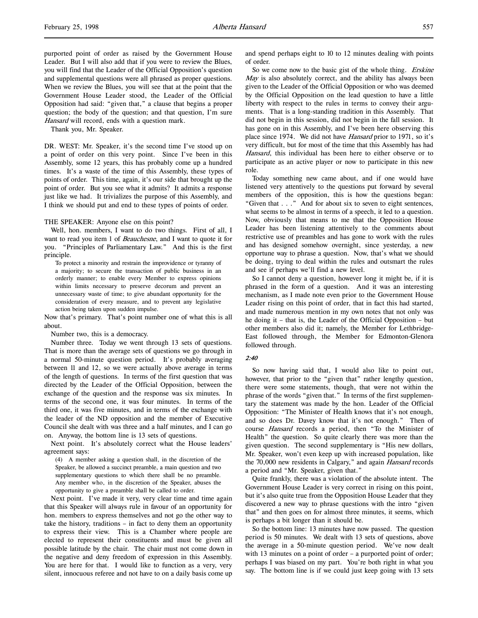purported point of order as raised by the Government House Leader. But I will also add that if you were to review the Blues, you will find that the Leader of the Official Opposition's question and supplemental questions were all phrased as proper questions. When we review the Blues, you will see that at the point that the Government House Leader stood, the Leader of the Official Opposition had said: "given that," a clause that begins a proper question; the body of the question; and that question, I'm sure Hansard will record, ends with a question mark.

Thank you, Mr. Speaker.

DR. WEST: Mr. Speaker, it's the second time I've stood up on a point of order on this very point. Since I've been in this Assembly, some 12 years, this has probably come up a hundred times. It's a waste of the time of this Assembly, these types of points of order. This time, again, it's our side that brought up the point of order. But you see what it admits? It admits a response just like we had. It trivializes the purpose of this Assembly, and I think we should put and end to these types of points of order.

#### THE SPEAKER: Anyone else on this point?

Well, hon. members, I want to do two things. First of all, I want to read you item 1 of *Beauchesne*, and I want to quote it for you. "Principles of Parliamentary Law." And this is the first principle.

To protect a minority and restrain the improvidence or tyranny of a majority; to secure the transaction of public business in an orderly manner; to enable every Member to express opinions within limits necessary to preserve decorum and prevent an unnecessary waste of time; to give abundant opportunity for the consideration of every measure, and to prevent any legislative action being taken upon sudden impulse.

Now that's primary. That's point number one of what this is all about.

Number two, this is a democracy.

Number three. Today we went through 13 sets of questions. That is more than the average sets of questions we go through in a normal 50-minute question period. It's probably averaging between 11 and 12, so we were actually above average in terms of the length of questions. In terms of the first question that was directed by the Leader of the Official Opposition, between the exchange of the question and the response was six minutes. In terms of the second one, it was four minutes. In terms of the third one, it was five minutes, and in terms of the exchange with the leader of the ND opposition and the member of Executive Council she dealt with was three and a half minutes, and I can go on. Anyway, the bottom line is 13 sets of questions.

Next point. It's absolutely correct what the House leaders' agreement says:

(4) A member asking a question shall, in the discretion of the Speaker, be allowed a succinct preamble, a main question and two supplementary questions to which there shall be no preamble. Any member who, in the discretion of the Speaker, abuses the opportunity to give a preamble shall be called to order.

Next point. I've made it very, very clear time and time again that this Speaker will always rule in favour of an opportunity for hon. members to express themselves and not go the other way to take the history, traditions – in fact to deny them an opportunity to express their view. This is a Chamber where people are elected to represent their constituents and must be given all possible latitude by the chair. The chair must not come down in the negative and deny freedom of expression in this Assembly. You are here for that. I would like to function as a very, very silent, innocuous referee and not have to on a daily basis come up

and spend perhaps eight to 10 to 12 minutes dealing with points of order.

So we come now to the basic gist of the whole thing. *Erskine* May is also absolutely correct, and the ability has always been given to the Leader of the Official Opposition or who was deemed by the Official Opposition on the lead question to have a little liberty with respect to the rules in terms to convey their arguments. That is a long-standing tradition in this Assembly. That did not begin in this session, did not begin in the fall session. It has gone on in this Assembly, and I've been here observing this place since 1974. We did not have Hansard prior to 1971, so it's very difficult, but for most of the time that this Assembly has had Hansard, this individual has been here to either observe or to participate as an active player or now to participate in this new role.

Today something new came about, and if one would have listened very attentively to the questions put forward by several members of the opposition, this is how the questions began: "Given that . . ." And for about six to seven to eight sentences, what seems to be almost in terms of a speech, it led to a question. Now, obviously that means to me that the Opposition House Leader has been listening attentively to the comments about restrictive use of preambles and has gone to work with the rules and has designed somehow overnight, since yesterday, a new opportune way to phrase a question. Now, that's what we should be doing, trying to deal within the rules and outsmart the rules and see if perhaps we'll find a new level.

So I cannot deny a question, however long it might be, if it is phrased in the form of a question. And it was an interesting mechanism, as I made note even prior to the Government House Leader rising on this point of order, that in fact this had started, and made numerous mention in my own notes that not only was he doing it – that is, the Leader of the Official Opposition – but other members also did it; namely, the Member for Lethbridge-East followed through, the Member for Edmonton-Glenora followed through.

#### 2:40

So now having said that, I would also like to point out, however, that prior to the "given that" rather lengthy question, there were some statements, though, that were not within the phrase of the words "given that." In terms of the first supplementary the statement was made by the hon. Leader of the Official Opposition: "The Minister of Health knows that it's not enough, and so does Dr. Davey know that it's not enough." Then of course Hansard records a period, then "To the Minister of Health" the question. So quite clearly there was more than the given question. The second supplementary is "His new dollars, Mr. Speaker, won't even keep up with increased population, like the 70,000 new residents in Calgary," and again *Hansard* records a period and "Mr. Speaker, given that."

Quite frankly, there was a violation of the absolute intent. The Government House Leader is very correct in rising on this point, but it's also quite true from the Opposition House Leader that they discovered a new way to phrase questions with the intro "given that" and then goes on for almost three minutes, it seems, which is perhaps a bit longer than it should be.

So the bottom line: 13 minutes have now passed. The question period is 50 minutes. We dealt with 13 sets of questions, above the average in a 50-minute question period. We've now dealt with 13 minutes on a point of order – a purported point of order; perhaps I was biased on my part. You're both right in what you say. The bottom line is if we could just keep going with 13 sets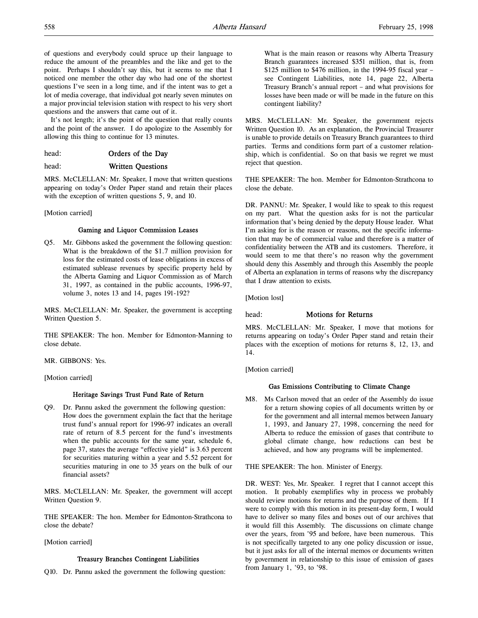of questions and everybody could spruce up their language to reduce the amount of the preambles and the like and get to the point. Perhaps I shouldn't say this, but it seems to me that I noticed one member the other day who had one of the shortest questions I've seen in a long time, and if the intent was to get a lot of media coverage, that individual got nearly seven minutes on a major provincial television station with respect to his very short questions and the answers that came out of it.

It's not length; it's the point of the question that really counts and the point of the answer. I do apologize to the Assembly for allowing this thing to continue for 13 minutes.

| head: | Orders of the Day |  |  |
|-------|-------------------|--|--|
|       |                   |  |  |

head: Written Questions

MRS. McCLELLAN: Mr. Speaker, I move that written questions appearing on today's Order Paper stand and retain their places with the exception of written questions 5, 9, and 10.

[Motion carried]

### Gaming and Liquor Commission Leases

Q5. Mr. Gibbons asked the government the following question: What is the breakdown of the \$1.7 million provision for loss for the estimated costs of lease obligations in excess of estimated sublease revenues by specific property held by the Alberta Gaming and Liquor Commission as of March 31, 1997, as contained in the public accounts, 1996-97, volume 3, notes 13 and 14, pages 191-192?

MRS. McCLELLAN: Mr. Speaker, the government is accepting Written Question 5.

THE SPEAKER: The hon. Member for Edmonton-Manning to close debate.

MR. GIBBONS: Yes.

[Motion carried]

### Heritage Savings Trust Fund Rate of Return

Q9. Dr. Pannu asked the government the following question: How does the government explain the fact that the heritage trust fund's annual report for 1996-97 indicates an overall rate of return of 8.5 percent for the fund's investments when the public accounts for the same year, schedule 6, page 37, states the average "effective yield" is 3.63 percent for securities maturing within a year and 5.52 percent for securities maturing in one to 35 years on the bulk of our financial assets?

MRS. McCLELLAN: Mr. Speaker, the government will accept Written Question 9.

THE SPEAKER: The hon. Member for Edmonton-Strathcona to close the debate?

[Motion carried]

### Treasury Branches Contingent Liabilities

Q10. Dr. Pannu asked the government the following question:

What is the main reason or reasons why Alberta Treasury Branch guarantees increased \$351 million, that is, from \$125 million to \$476 million, in the 1994-95 fiscal year – see Contingent Liabilities, note 14, page 22, Alberta Treasury Branch's annual report – and what provisions for losses have been made or will be made in the future on this contingent liability?

MRS. McCLELLAN: Mr. Speaker, the government rejects Written Question 10. As an explanation, the Provincial Treasurer is unable to provide details on Treasury Branch guarantees to third parties. Terms and conditions form part of a customer relationship, which is confidential. So on that basis we regret we must reject that question.

THE SPEAKER: The hon. Member for Edmonton-Strathcona to close the debate.

DR. PANNU: Mr. Speaker, I would like to speak to this request on my part. What the question asks for is not the particular information that's being denied by the deputy House leader. What I'm asking for is the reason or reasons, not the specific information that may be of commercial value and therefore is a matter of confidentiality between the ATB and its customers. Therefore, it would seem to me that there's no reason why the government should deny this Assembly and through this Assembly the people of Alberta an explanation in terms of reasons why the discrepancy that I draw attention to exists.

[Motion lost]

## head: **Motions for Returns**

MRS. McCLELLAN: Mr. Speaker, I move that motions for returns appearing on today's Order Paper stand and retain their places with the exception of motions for returns 8, 12, 13, and 14.

[Motion carried]

# Gas Emissions Contributing to Climate Change

M8. Ms Carlson moved that an order of the Assembly do issue for a return showing copies of all documents written by or for the government and all internal memos between January 1, 1993, and January 27, 1998, concerning the need for Alberta to reduce the emission of gases that contribute to global climate change, how reductions can best be achieved, and how any programs will be implemented.

THE SPEAKER: The hon. Minister of Energy.

DR. WEST: Yes, Mr. Speaker. I regret that I cannot accept this motion. It probably exemplifies why in process we probably should review motions for returns and the purpose of them. If I were to comply with this motion in its present-day form, I would have to deliver so many files and boxes out of our archives that it would fill this Assembly. The discussions on climate change over the years, from '95 and before, have been numerous. This is not specifically targeted to any one policy discussion or issue, but it just asks for all of the internal memos or documents written by government in relationship to this issue of emission of gases from January 1, '93, to '98.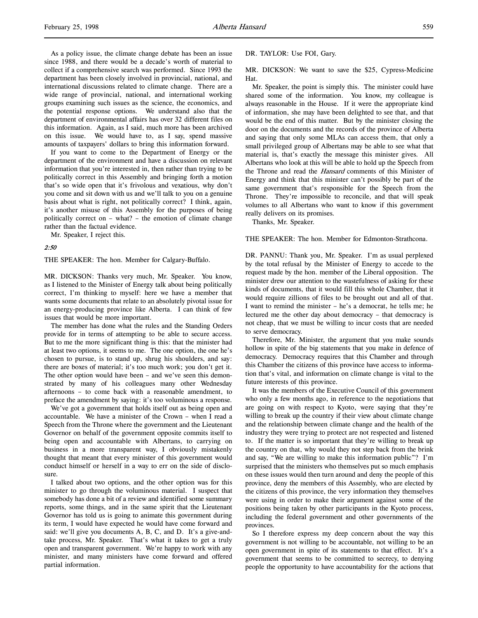As a policy issue, the climate change debate has been an issue since 1988, and there would be a decade's worth of material to collect if a comprehensive search was performed. Since 1993 the department has been closely involved in provincial, national, and international discussions related to climate change. There are a wide range of provincial, national, and international working groups examining such issues as the science, the economics, and the potential response options. We understand also that the department of environmental affairs has over 32 different files on this information. Again, as I said, much more has been archived on this issue. We would have to, as I say, spend massive amounts of taxpayers' dollars to bring this information forward.

If you want to come to the Department of Energy or the department of the environment and have a discussion on relevant information that you're interested in, then rather than trying to be politically correct in this Assembly and bringing forth a motion that's so wide open that it's frivolous and vexatious, why don't you come and sit down with us and we'll talk to you on a genuine basis about what is right, not politically correct? I think, again, it's another misuse of this Assembly for the purposes of being politically correct on – what? – the emotion of climate change rather than the factual evidence.

Mr. Speaker, I reject this.

#### 2:50

THE SPEAKER: The hon. Member for Calgary-Buffalo.

MR. DICKSON: Thanks very much, Mr. Speaker. You know, as I listened to the Minister of Energy talk about being politically correct, I'm thinking to myself: here we have a member that wants some documents that relate to an absolutely pivotal issue for an energy-producing province like Alberta. I can think of few issues that would be more important.

The member has done what the rules and the Standing Orders provide for in terms of attempting to be able to secure access. But to me the more significant thing is this: that the minister had at least two options, it seems to me. The one option, the one he's chosen to pursue, is to stand up, shrug his shoulders, and say: there are boxes of material; it's too much work; you don't get it. The other option would have been – and we've seen this demonstrated by many of his colleagues many other Wednesday afternoons – to come back with a reasonable amendment, to preface the amendment by saying: it's too voluminous a response.

We've got a government that holds itself out as being open and accountable. We have a minister of the Crown – when I read a Speech from the Throne where the government and the Lieutenant Governor on behalf of the government opposite commits itself to being open and accountable with Albertans, to carrying on business in a more transparent way, I obviously mistakenly thought that meant that every minister of this government would conduct himself or herself in a way to err on the side of disclosure.

I talked about two options, and the other option was for this minister to go through the voluminous material. I suspect that somebody has done a bit of a review and identified some summary reports, some things, and in the same spirit that the Lieutenant Governor has told us is going to animate this government during its term, I would have expected he would have come forward and said: we'll give you documents A, B, C, and D. It's a give-andtake process, Mr. Speaker. That's what it takes to get a truly open and transparent government. We're happy to work with any minister, and many ministers have come forward and offered partial information.

#### DR. TAYLOR: Use FOI, Gary.

MR. DICKSON: We want to save the \$25, Cypress-Medicine Hat.

Mr. Speaker, the point is simply this. The minister could have shared some of the information. You know, my colleague is always reasonable in the House. If it were the appropriate kind of information, she may have been delighted to see that, and that would be the end of this matter. But by the minister closing the door on the documents and the records of the province of Alberta and saying that only some MLAs can access them, that only a small privileged group of Albertans may be able to see what that material is, that's exactly the message this minister gives. All Albertans who look at this will be able to hold up the Speech from the Throne and read the Hansard comments of this Minister of Energy and think that this minister can't possibly be part of the same government that's responsible for the Speech from the Throne. They're impossible to reconcile, and that will speak volumes to all Albertans who want to know if this government really delivers on its promises.

Thanks, Mr. Speaker.

THE SPEAKER: The hon. Member for Edmonton-Strathcona.

DR. PANNU: Thank you, Mr. Speaker. I'm as usual perplexed by the total refusal by the Minister of Energy to accede to the request made by the hon. member of the Liberal opposition. The minister drew our attention to the wastefulness of asking for these kinds of documents, that it would fill this whole Chamber, that it would require zillions of files to be brought out and all of that. I want to remind the minister – he's a democrat, he tells me; he lectured me the other day about democracy – that democracy is not cheap, that we must be willing to incur costs that are needed to serve democracy.

Therefore, Mr. Minister, the argument that you make sounds hollow in spite of the big statements that you make in defence of democracy. Democracy requires that this Chamber and through this Chamber the citizens of this province have access to information that's vital, and information on climate change is vital to the future interests of this province.

It was the members of the Executive Council of this government who only a few months ago, in reference to the negotiations that are going on with respect to Kyoto, were saying that they're willing to break up the country if their view about climate change and the relationship between climate change and the health of the industry they were trying to protect are not respected and listened to. If the matter is so important that they're willing to break up the country on that, why would they not step back from the brink and say, "We are willing to make this information public"? I'm surprised that the ministers who themselves put so much emphasis on these issues would then turn around and deny the people of this province, deny the members of this Assembly, who are elected by the citizens of this province, the very information they themselves were using in order to make their argument against some of the positions being taken by other participants in the Kyoto process, including the federal government and other governments of the provinces.

So I therefore express my deep concern about the way this government is not willing to be accountable, not willing to be an open government in spite of its statements to that effect. It's a government that seems to be committed to secrecy, to denying people the opportunity to have accountability for the actions that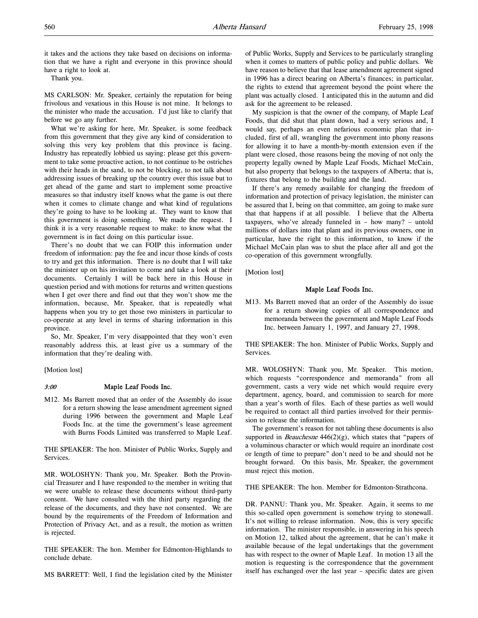it takes and the actions they take based on decisions on information that we have a right and everyone in this province should have a right to look at.

Thank you.

MS CARLSON: Mr. Speaker, certainly the reputation for being frivolous and vexatious in this House is not mine. It belongs to the minister who made the accusation. I'd just like to clarify that before we go any further.

What we're asking for here, Mr. Speaker, is some feedback from this government that they give any kind of consideration to solving this very key problem that this province is facing. Industry has repeatedly lobbied us saying: please get this government to take some proactive action, to not continue to be ostriches with their heads in the sand, to not be blocking, to not talk about addressing issues of breaking up the country over this issue but to get ahead of the game and start to implement some proactive measures so that industry itself knows what the game is out there when it comes to climate change and what kind of regulations they're going to have to be looking at. They want to know that this government is doing something. We made the request. I think it is a very reasonable request to make: to know what the government is in fact doing on this particular issue.

There's no doubt that we can FOIP this information under freedom of information: pay the fee and incur those kinds of costs to try and get this information. There is no doubt that I will take the minister up on his invitation to come and take a look at their documents. Certainly I will be back here in this House in question period and with motions for returns and written questions when I get over there and find out that they won't show me the information, because, Mr. Speaker, that is repeatedly what happens when you try to get those two ministers in particular to co-operate at any level in terms of sharing information in this province.

So, Mr. Speaker, I'm very disappointed that they won't even reasonably address this, at least give us a summary of the information that they're dealing with.

[Motion lost]

### 3:00 Maple Leaf Foods Inc.

M12. Ms Barrett moved that an order of the Assembly do issue for a return showing the lease amendment agreement signed during 1996 between the government and Maple Leaf Foods Inc. at the time the government's lease agreement with Burns Foods Limited was transferred to Maple Leaf.

THE SPEAKER: The hon. Minister of Public Works, Supply and Services.

MR. WOLOSHYN: Thank you, Mr. Speaker. Both the Provincial Treasurer and I have responded to the member in writing that we were unable to release these documents without third-party consent. We have consulted with the third party regarding the release of the documents, and they have not consented. We are bound by the requirements of the Freedom of Information and Protection of Privacy Act, and as a result, the motion as written is rejected.

THE SPEAKER: The hon. Member for Edmonton-Highlands to conclude debate.

MS BARRETT: Well, I find the legislation cited by the Minister

of Public Works, Supply and Services to be particularly strangling when it comes to matters of public policy and public dollars. We have reason to believe that that lease amendment agreement signed in 1996 has a direct bearing on Alberta's finances; in particular, the rights to extend that agreement beyond the point where the plant was actually closed. I anticipated this in the autumn and did ask for the agreement to be released.

My suspicion is that the owner of the company, of Maple Leaf Foods, that did shut that plant down, had a very serious and, I would say, perhaps an even nefarious economic plan that included, first of all, wrangling the government into phony reasons for allowing it to have a month-by-month extension even if the plant were closed, those reasons being the moving of not only the property legally owned by Maple Leaf Foods, Michael McCain, but also property that belongs to the taxpayers of Alberta; that is, fixtures that belong to the building and the land.

If there's any remedy available for changing the freedom of information and protection of privacy legislation, the minister can be assured that I, being on that committee, am going to make sure that that happens if at all possible. I believe that the Alberta taxpayers, who've already funneled in – how many? – untold millions of dollars into that plant and its previous owners, one in particular, have the right to this information, to know if the Michael McCain plan was to shut the place after all and got the co-operation of this government wrongfully.

[Motion lost]

### Maple Leaf Foods Inc.

M13. Ms Barrett moved that an order of the Assembly do issue for a return showing copies of all correspondence and memoranda between the government and Maple Leaf Foods Inc. between January 1, 1997, and January 27, 1998.

THE SPEAKER: The hon. Minister of Public Works, Supply and Services.

MR. WOLOSHYN: Thank you, Mr. Speaker. This motion, which requests "correspondence and memoranda" from all government, casts a very wide net which would require every department, agency, board, and commission to search for more than a year's worth of files. Each of these parties as well would be required to contact all third parties involved for their permission to release the information.

The government's reason for not tabling these documents is also supported in *Beauchesne*  $446(2)(g)$ , which states that "papers of a voluminous character or which would require an inordinate cost or length of time to prepare" don't need to be and should not be brought forward. On this basis, Mr. Speaker, the government must reject this motion.

THE SPEAKER: The hon. Member for Edmonton-Strathcona.

DR. PANNU: Thank you, Mr. Speaker. Again, it seems to me this so-called open government is somehow trying to stonewall. It's not willing to release information. Now, this is very specific information. The minister responsible, in answering in his speech on Motion 12, talked about the agreement, that he can't make it available because of the legal undertakings that the government has with respect to the owner of Maple Leaf. In motion 13 all the motion is requesting is the correspondence that the government itself has exchanged over the last year – specific dates are given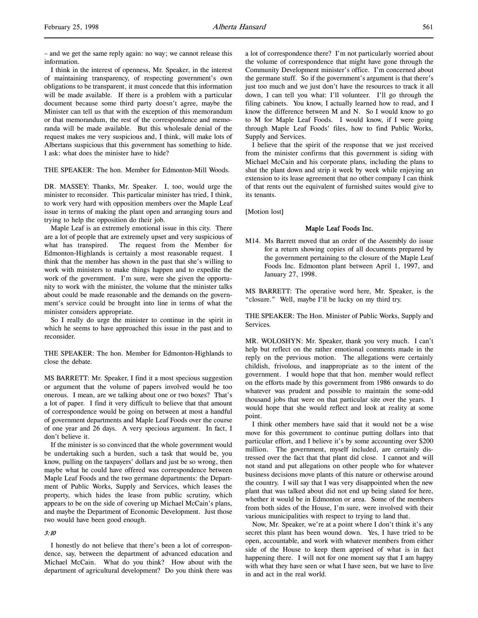– and we get the same reply again: no way; we cannot release this information.

I think in the interest of openness, Mr. Speaker, in the interest of maintaining transparency, of respecting government's own obligations to be transparent, it must concede that this information will be made available. If there is a problem with a particular document because some third party doesn't agree, maybe the Minister can tell us that with the exception of this memorandum or that memorandum, the rest of the correspondence and memoranda will be made available. But this wholesale denial of the request makes me very suspicious and, I think, will make lots of Albertans suspicious that this government has something to hide. I ask: what does the minister have to hide?

THE SPEAKER: The hon. Member for Edmonton-Mill Woods.

DR. MASSEY: Thanks, Mr. Speaker. I, too, would urge the minister to reconsider. This particular minister has tried, I think, to work very hard with opposition members over the Maple Leaf issue in terms of making the plant open and arranging tours and trying to help the opposition do their job.

Maple Leaf is an extremely emotional issue in this city. There are a lot of people that are extremely upset and very suspicious of what has transpired. The request from the Member for Edmonton-Highlands is certainly a most reasonable request. I think that the member has shown in the past that she's willing to work with ministers to make things happen and to expedite the work of the government. I'm sure, were she given the opportunity to work with the minister, the volume that the minister talks about could be made reasonable and the demands on the government's service could be brought into line in terms of what the minister considers appropriate.

So I really do urge the minister to continue in the spirit in which he seems to have approached this issue in the past and to reconsider.

THE SPEAKER: The hon. Member for Edmonton-Highlands to close the debate.

MS BARRETT: Mr. Speaker, I find it a most specious suggestion or argument that the volume of papers involved would be too onerous. I mean, are we talking about one or two boxes? That's a lot of paper. I find it very difficult to believe that that amount of correspondence would be going on between at most a handful of government departments and Maple Leaf Foods over the course of one year and 26 days. A very specious argument. In fact, I don't believe it.

If the minister is so convinced that the whole government would be undertaking such a burden, such a task that would be, you know, pulling on the taxpayers' dollars and just be so wrong, then maybe what he could have offered was correspondence between Maple Leaf Foods and the two germane departments: the Department of Public Works, Supply and Services, which leases the property, which hides the lease from public scrutiny, which appears to be on the side of covering up Michael McCain's plans, and maybe the Department of Economic Development. Just those two would have been good enough.

### 3:10

I honestly do not believe that there's been a lot of correspondence, say, between the department of advanced education and Michael McCain. What do you think? How about with the department of agricultural development? Do you think there was a lot of correspondence there? I'm not particularly worried about the volume of correspondence that might have gone through the Community Development minister's office. I'm concerned about the germane stuff. So if the government's argument is that there's just too much and we just don't have the resources to track it all down, I can tell you what: I'll volunteer. I'll go through the filing cabinets. You know, I actually learned how to read, and I know the difference between M and N. So I would know to go to M for Maple Leaf Foods. I would know, if I were going through Maple Leaf Foods' files, how to find Public Works, Supply and Services.

I believe that the spirit of the response that we just received from the minister confirms that this government is siding with Michael McCain and his corporate plans, including the plans to shut the plant down and strip it week by week while enjoying an extension to its lease agreement that no other company I can think of that rents out the equivalent of furnished suites would give to its tenants.

[Motion lost]

### Maple Leaf Foods Inc.

M14. Ms Barrett moved that an order of the Assembly do issue for a return showing copies of all documents prepared by the government pertaining to the closure of the Maple Leaf Foods Inc. Edmonton plant between April 1, 1997, and January 27, 1998.

MS BARRETT: The operative word here, Mr. Speaker, is the "closure." Well, maybe I'll be lucky on my third try.

THE SPEAKER: The Hon. Minister of Public Works, Supply and **Services**.

MR. WOLOSHYN: Mr. Speaker, thank you very much. I can't help but reflect on the rather emotional comments made in the reply on the previous motion. The allegations were certainly childish, frivolous, and inappropriate as to the intent of the government. I would hope that that hon. member would reflect on the efforts made by this government from 1986 onwards to do whatever was prudent and possible to maintain the some-odd thousand jobs that were on that particular site over the years. I would hope that she would reflect and look at reality at some point.

I think other members have said that it would not be a wise move for this government to continue putting dollars into that particular effort, and I believe it's by some accounting over \$200 million. The government, myself included, are certainly distressed over the fact that that plant did close. I cannot and will not stand and put allegations on other people who for whatever business decisions move plants of this nature or otherwise around the country. I will say that I was very disappointed when the new plant that was talked about did not end up being slated for here, whether it would be in Edmonton or area. Some of the members from both sides of the House, I'm sure, were involved with their various municipalities with respect to trying to land that.

Now, Mr. Speaker, we're at a point where I don't think it's any secret this plant has been wound down. Yes, I have tried to be open, accountable, and work with whatever members from either side of the House to keep them apprised of what is in fact happening there. I will not for one moment say that I am happy with what they have seen or what I have seen, but we have to live in and act in the real world.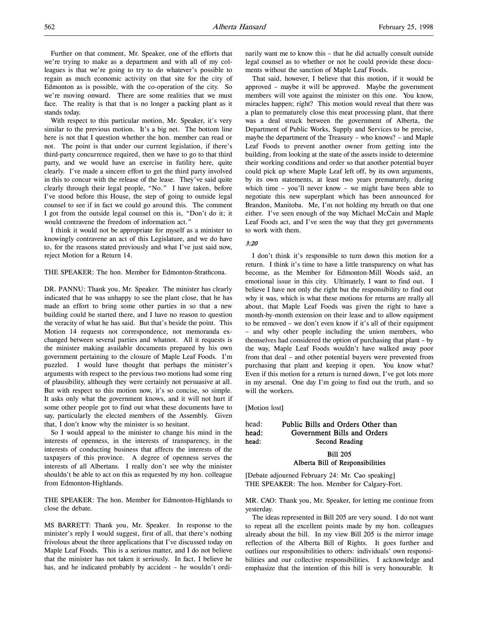Further on that comment, Mr. Speaker, one of the efforts that we're trying to make as a department and with all of my colleagues is that we're going to try to do whatever's possible to regain as much economic activity on that site for the city of Edmonton as is possible, with the co-operation of the city. So we're moving onward. There are some realities that we must face. The reality is that that is no longer a packing plant as it stands today.

With respect to this particular motion, Mr. Speaker, it's very similar to the previous motion. It's a big net. The bottom line here is not that I question whether the hon. member can read or not. The point is that under our current legislation, if there's third-party concurrence required, then we have to go to that third party, and we would have an exercise in futility here, quite clearly. I've made a sincere effort to get the third party involved in this to concur with the release of the lease. They've said quite clearly through their legal people, "No." I have taken, before I've stood before this House, the step of going to outside legal counsel to see if in fact we could go around this. The comment I got from the outside legal counsel on this is, "Don't do it; it would contravene the freedom of information act."

I think it would not be appropriate for myself as a minister to knowingly contravene an act of this Legislature, and we do have to, for the reasons stated previously and what I've just said now, reject Motion for a Return 14.

THE SPEAKER: The hon. Member for Edmonton-Strathcona.

DR. PANNU: Thank you, Mr. Speaker. The minister has clearly indicated that he was unhappy to see the plant close, that he has made an effort to bring some other parties in so that a new building could be started there, and I have no reason to question the veracity of what he has said. But that's beside the point. This Motion 14 requests not correspondence, not memoranda exchanged between several parties and whatnot. All it requests is the minister making available documents prepared by his own government pertaining to the closure of Maple Leaf Foods. I'm puzzled. I would have thought that perhaps the minister's arguments with respect to the previous two motions had some ring of plausibility, although they were certainly not persuasive at all. But with respect to this motion now, it's so concise, so simple. It asks only what the government knows, and it will not hurt if some other people got to find out what these documents have to say, particularly the elected members of the Assembly. Given that, I don't know why the minister is so hesitant.

So I would appeal to the minister to change his mind in the interests of openness, in the interests of transparency, in the interests of conducting business that affects the interests of the taxpayers of this province. A degree of openness serves the interests of all Albertans. I really don't see why the minister shouldn't be able to act on this as requested by my hon. colleague from Edmonton-Highlands.

THE SPEAKER: The hon. Member for Edmonton-Highlands to close the debate.

MS BARRETT: Thank you, Mr. Speaker. In response to the minister's reply I would suggest, first of all, that there's nothing frivolous about the three applications that I've discussed today on Maple Leaf Foods. This is a serious matter, and I do not believe that the minister has not taken it seriously. In fact, I believe he has, and he indicated probably by accident – he wouldn't ordinarily want me to know this – that he did actually consult outside legal counsel as to whether or not he could provide these documents without the sanction of Maple Leaf Foods.

That said, however, I believe that this motion, if it would be approved – maybe it will be approved. Maybe the government members will vote against the minister on this one. You know, miracles happen; right? This motion would reveal that there was a plan to prematurely close this meat processing plant, that there was a deal struck between the government of Alberta, the Department of Public Works, Supply and Services to be precise, maybe the department of the Treasury – who knows? – and Maple Leaf Foods to prevent another owner from getting into the building, from looking at the state of the assets inside to determine their working conditions and order so that another potential buyer could pick up where Maple Leaf left off, by its own arguments, by its own statements, at least two years prematurely, during which time – you'll never know – we might have been able to negotiate this new superplant which has been announced for Brandon, Manitoba. Me, I'm not holding my breath on that one either. I've seen enough of the way Michael McCain and Maple Leaf Foods act, and I've seen the way that they get governments to work with them.

# 3:20

I don't think it's responsible to turn down this motion for a return. I think it's time to have a little transparency on what has become, as the Member for Edmonton-Mill Woods said, an emotional issue in this city. Ultimately, I want to find out. I believe I have not only the right but the responsibility to find out why it was, which is what these motions for returns are really all about, that Maple Leaf Foods was given the right to have a month-by-month extension on their lease and to allow equipment to be removed – we don't even know if it's all of their equipment – and why other people including the union members, who themselves had considered the option of purchasing that plant – by the way, Maple Leaf Foods wouldn't have walked away poor from that deal – and other potential buyers were prevented from purchasing that plant and keeping it open. You know what? Even if this motion for a return is turned down, I've got lots more in my arsenal. One day I'm going to find out the truth, and so will the workers.

[Motion lost]

### head: Public Bills and Orders Other than head: Government Bills and Orders head: Second Reading

Bill 205 Alberta Bill of Responsibilities

[Debate adjourned February 24: Mr. Cao speaking] THE SPEAKER: The hon. Member for Calgary-Fort.

MR. CAO: Thank you, Mr. Speaker, for letting me continue from yesterday.

The ideas represented in Bill 205 are very sound. I do not want to repeat all the excellent points made by my hon. colleagues already about the bill. In my view Bill 205 is the mirror image reflection of the Alberta Bill of Rights. It goes further and outlines our responsibilities to others: individuals' own responsibilities and our collective responsibilities. I acknowledge and emphasize that the intention of this bill is very honourable. It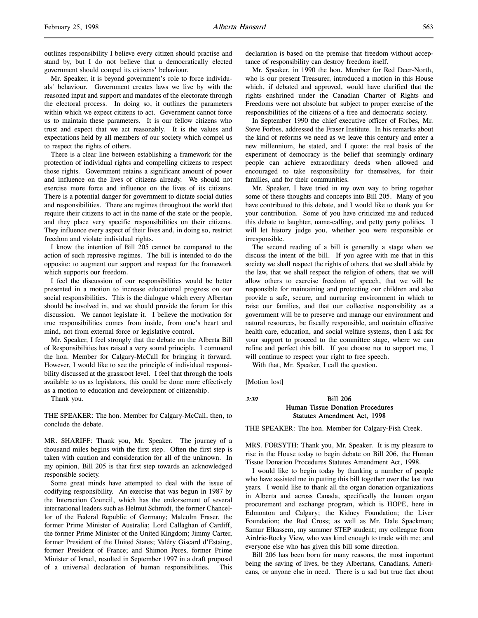outlines responsibility I believe every citizen should practise and stand by, but I do not believe that a democratically elected government should compel its citizens' behaviour.

Mr. Speaker, it is beyond government's role to force individuals' behaviour. Government creates laws we live by with the reasoned input and support and mandates of the electorate through the electoral process. In doing so, it outlines the parameters within which we expect citizens to act. Government cannot force us to maintain these parameters. It is our fellow citizens who trust and expect that we act reasonably. It is the values and expectations held by all members of our society which compel us to respect the rights of others.

There is a clear line between establishing a framework for the protection of individual rights and compelling citizens to respect those rights. Government retains a significant amount of power and influence on the lives of citizens already. We should not exercise more force and influence on the lives of its citizens. There is a potential danger for government to dictate social duties and responsibilities. There are regimes throughout the world that require their citizens to act in the name of the state or the people, and they place very specific responsibilities on their citizens. They influence every aspect of their lives and, in doing so, restrict freedom and violate individual rights.

I know the intention of Bill 205 cannot be compared to the action of such repressive regimes. The bill is intended to do the opposite: to augment our support and respect for the framework which supports our freedom.

I feel the discussion of our responsibilities would be better presented in a motion to increase educational progress on our social responsibilities. This is the dialogue which every Albertan should be involved in, and we should provide the forum for this discussion. We cannot legislate it. I believe the motivation for true responsibilities comes from inside, from one's heart and mind, not from external force or legislative control.

Mr. Speaker, I feel strongly that the debate on the Alberta Bill of Responsibilities has raised a very sound principle. I commend the hon. Member for Calgary-McCall for bringing it forward. However, I would like to see the principle of individual responsibility discussed at the grassroot level. I feel that through the tools available to us as legislators, this could be done more effectively as a motion to education and development of citizenship.

Thank you.

THE SPEAKER: The hon. Member for Calgary-McCall, then, to conclude the debate.

MR. SHARIFF: Thank you, Mr. Speaker. The journey of a thousand miles begins with the first step. Often the first step is taken with caution and consideration for all of the unknown. In my opinion, Bill 205 is that first step towards an acknowledged responsible society.

Some great minds have attempted to deal with the issue of codifying responsibility. An exercise that was begun in 1987 by the Interaction Council, which has the endorsement of several international leaders such as Helmut Schmidt, the former Chancellor of the Federal Republic of Germany; Malcolm Fraser, the former Prime Minister of Australia; Lord Callaghan of Cardiff, the former Prime Minister of the United Kingdom; Jimmy Carter, former President of the United States; Valéry Giscard d'Estaing, former President of France; and Shimon Peres, former Prime Minister of Israel, resulted in September 1997 in a draft proposal of a universal declaration of human responsibilities. This

declaration is based on the premise that freedom without acceptance of responsibility can destroy freedom itself.

Mr. Speaker, in 1990 the hon. Member for Red Deer-North, who is our present Treasurer, introduced a motion in this House which, if debated and approved, would have clarified that the rights enshrined under the Canadian Charter of Rights and Freedoms were not absolute but subject to proper exercise of the responsibilities of the citizens of a free and democratic society.

In September 1990 the chief executive officer of Forbes, Mr. Steve Forbes, addressed the Fraser Institute. In his remarks about the kind of reforms we need as we leave this century and enter a new millennium, he stated, and I quote: the real basis of the experiment of democracy is the belief that seemingly ordinary people can achieve extraordinary deeds when allowed and encouraged to take responsibility for themselves, for their families, and for their communities.

Mr. Speaker, I have tried in my own way to bring together some of these thoughts and concepts into Bill 205. Many of you have contributed to this debate, and I would like to thank you for your contribution. Some of you have criticized me and reduced this debate to laughter, name-calling, and petty party politics. I will let history judge you, whether you were responsible or irresponsible.

The second reading of a bill is generally a stage when we discuss the intent of the bill. If you agree with me that in this society we shall respect the rights of others, that we shall abide by the law, that we shall respect the religion of others, that we will allow others to exercise freedom of speech, that we will be responsible for maintaining and protecting our children and also provide a safe, secure, and nurturing environment in which to raise our families, and that our collective responsibility as a government will be to preserve and manage our environment and natural resources, be fiscally responsible, and maintain effective health care, education, and social welfare systems, then I ask for your support to proceed to the committee stage, where we can refine and perfect this bill. If you choose not to support me, I will continue to respect your right to free speech.

With that, Mr. Speaker, I call the question.

[Motion lost]

### 3:30 Bill 206 Human Tissue Donation Procedures Statutes Amendment Act, 1998

THE SPEAKER: The hon. Member for Calgary-Fish Creek.

MRS. FORSYTH: Thank you, Mr. Speaker. It is my pleasure to rise in the House today to begin debate on Bill 206, the Human Tissue Donation Procedures Statutes Amendment Act, 1998.

I would like to begin today by thanking a number of people who have assisted me in putting this bill together over the last two years. I would like to thank all the organ donation organizations in Alberta and across Canada, specifically the human organ procurement and exchange program, which is HOPE, here in Edmonton and Calgary; the Kidney Foundation; the Liver Foundation; the Red Cross; as well as Mr. Dale Spackman; Samur Elkassem, my summer STEP student; my colleague from Airdrie-Rocky View, who was kind enough to trade with me; and everyone else who has given this bill some direction.

Bill 206 has been born for many reasons, the most important being the saving of lives, be they Albertans, Canadians, Americans, or anyone else in need. There is a sad but true fact about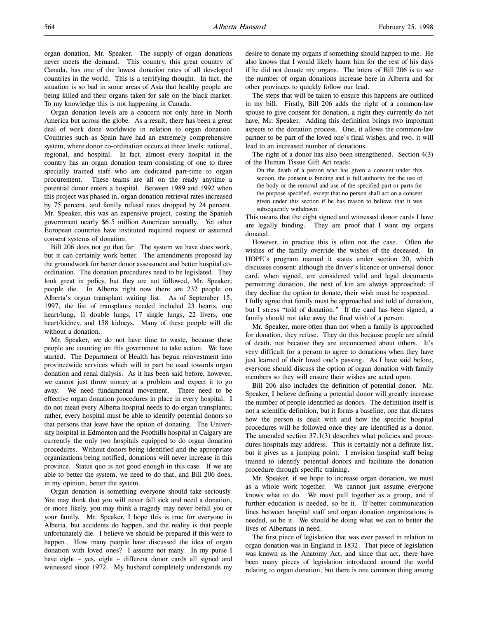organ donation, Mr. Speaker. The supply of organ donations never meets the demand. This country, this great country of Canada, has one of the lowest donation rates of all developed countries in the world. This is a terrifying thought. In fact, the situation is so bad in some areas of Asia that healthy people are being killed and their organs taken for sale on the black market. To my knowledge this is not happening in Canada.

Organ donation levels are a concern not only here in North America but across the globe. As a result, there has been a great deal of work done worldwide in relation to organ donation. Countries such as Spain have had an extremely comprehensive system, where donor co-ordination occurs at three levels: national, regional, and hospital. In fact, almost every hospital in the country has an organ donation team consisting of one to three specially trained staff who are dedicated part-time to organ procurement. These teams are all on the ready anytime a potential donor enters a hospital. Between 1989 and 1992 when this project was phased in, organ donation retrieval rates increased by 75 percent, and family refusal rates dropped by 24 percent. Mr. Speaker, this was an expensive project, costing the Spanish government nearly \$6.5 million American annually. Yet other European countries have instituted required request or assumed consent systems of donation.

Bill 206 does not go that far. The system we have does work, but it can certainly work better. The amendments proposed lay the groundwork for better donor assessment and better hospital coordination. The donation procedures need to be legislated. They look great in policy, but they are not followed, Mr. Speaker; people die. In Alberta right now there are 232 people on Alberta's organ transplant waiting list. As of September 15, 1997, the list of transplants needed included 23 hearts, one heart/lung, 11 double lungs, 17 single lungs, 22 livers, one heart/kidney, and 158 kidneys. Many of these people will die without a donation.

Mr. Speaker, we do not have time to waste, because these people are counting on this government to take action. We have started. The Department of Health has begun reinvestment into provincewide services which will in part be used towards organ donation and renal dialysis. As it has been said before, however, we cannot just throw money at a problem and expect it to go away. We need fundamental movement. There need to be effective organ donation procedures in place in every hospital. I do not mean every Alberta hospital needs to do organ transplants; rather, every hospital must be able to identify potential donors so that persons that leave have the option of donating. The University hospital in Edmonton and the Foothills hospital in Calgary are currently the only two hospitals equipped to do organ donation procedures. Without donors being identified and the appropriate organizations being notified, donations will never increase in this province. Status quo is not good enough in this case. If we are able to better the system, we need to do that, and Bill 206 does, in my opinion, better the system.

Organ donation is something everyone should take seriously. You may think that you will never fall sick and need a donation, or more likely, you may think a tragedy may never befall you or your family. Mr. Speaker, I hope this is true for everyone in Alberta, but accidents do happen, and the reality is that people unfortunately die. I believe we should be prepared if this were to happen. How many people have discussed the idea of organ donation with loved ones? I assume not many. In my purse I have eight – yes, eight – different donor cards all signed and witnessed since 1972. My husband completely understands my

desire to donate my organs if something should happen to me. He also knows that I would likely haunt him for the rest of his days if he did not donate my organs. The intent of Bill 206 is to see the number of organ donations increase here in Alberta and for other provinces to quickly follow our lead.

The steps that will be taken to ensure this happens are outlined in my bill. Firstly, Bill 206 adds the right of a common-law spouse to give consent for donation, a right they currently do not have, Mr. Speaker. Adding this definition brings two important aspects to the donation process. One, it allows the common-law partner to be part of the loved one's final wishes, and two, it will lead to an increased number of donations.

The right of a donor has also been strengthened. Section 4(3) of the Human Tissue Gift Act reads:

On the death of a person who has given a consent under this section, the consent is binding and is full authority for the use of the body or the removal and use of the specified part or parts for the purpose specified, except that no person shall act on a consent given under this section if he has reason to believe that it was subsequently withdrawn.

This means that the eight signed and witnessed donor cards I have are legally binding. They are proof that I want my organs donated.

However, in practice this is often not the case. Often the wishes of the family override the wishes of the deceased. In HOPE's program manual it states under section 20, which discusses consent: although the driver's licence or universal donor card, when signed, are considered valid and legal documents permitting donation, the next of kin are always approached; if they decline the option to donate, their wish must be respected. I fully agree that family must be approached and told of donation, but I stress "told of donation." If the card has been signed, a

family should not take away the final wish of a person. Mr. Speaker, more often than not when a family is approached for donation, they refuse. They do this because people are afraid of death, not because they are unconcerned about others. It's very difficult for a person to agree to donations when they have just learned of their loved one's passing. As I have said before, everyone should discuss the option of organ donation with family

members so they will ensure their wishes are acted upon.

Bill 206 also includes the definition of potential donor. Mr. Speaker, I believe defining a potential donor will greatly increase the number of people identified as donors. The definition itself is not a scientific definition, but it forms a baseline, one that dictates how the person is dealt with and how the specific hospital procedures will be followed once they are identified as a donor. The amended section 37.1(3) describes what policies and procedures hospitals may address. This is certainly not a definite list, but it gives us a jumping point. I envision hospital staff being trained to identify potential donors and facilitate the donation procedure through specific training.

Mr. Speaker, if we hope to increase organ donation, we must as a whole work together. We cannot just assume everyone knows what to do. We must pull together as a group, and if further education is needed, so be it. If better communication lines between hospital staff and organ donation organizations is needed, so be it. We should be doing what we can to better the lives of Albertans in need.

The first piece of legislation that was ever passed in relation to organ donation was in England in 1832. That piece of legislation was known as the Anatomy Act, and since that act, there have been many pieces of legislation introduced around the world relating to organ donation, but there is one common thing among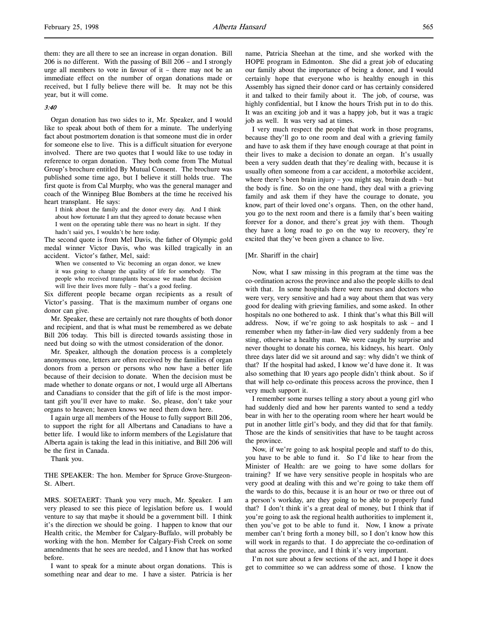### 3:40

Organ donation has two sides to it, Mr. Speaker, and I would like to speak about both of them for a minute. The underlying fact about postmortem donation is that someone must die in order for someone else to live. This is a difficult situation for everyone involved. There are two quotes that I would like to use today in reference to organ donation. They both come from The Mutual Group's brochure entitled By Mutual Consent. The brochure was published some time ago, but I believe it still holds true. The first quote is from Cal Murphy, who was the general manager and coach of the Winnipeg Blue Bombers at the time he received his heart transplant. He says:

I think about the family and the donor every day. And I think about how fortunate I am that they agreed to donate because when I went on the operating table there was no heart in sight. If they hadn't said yes, I wouldn't be here today.

The second quote is from Mel Davis, the father of Olympic gold medal winner Victor Davis, who was killed tragically in an accident. Victor's father, Mel, said:

When we consented to Vic becoming an organ donor, we knew it was going to change the quality of life for somebody. The people who received transplants because we made that decision will live their lives more fully – that's a good feeling.

Six different people became organ recipients as a result of Victor's passing. That is the maximum number of organs one donor can give.

Mr. Speaker, these are certainly not rare thoughts of both donor and recipient, and that is what must be remembered as we debate Bill 206 today. This bill is directed towards assisting those in need but doing so with the utmost consideration of the donor.

Mr. Speaker, although the donation process is a completely anonymous one, letters are often received by the families of organ donors from a person or persons who now have a better life because of their decision to donate. When the decision must be made whether to donate organs or not, I would urge all Albertans and Canadians to consider that the gift of life is the most important gift you'll ever have to make. So, please, don't take your organs to heaven; heaven knows we need them down here.

I again urge all members of the House to fully support Bill 206, to support the right for all Albertans and Canadians to have a better life. I would like to inform members of the Legislature that Alberta again is taking the lead in this initiative, and Bill 206 will be the first in Canada.

Thank you.

THE SPEAKER: The hon. Member for Spruce Grove-Sturgeon-St. Albert.

MRS. SOETAERT: Thank you very much, Mr. Speaker. I am very pleased to see this piece of legislation before us. I would venture to say that maybe it should be a government bill. I think it's the direction we should be going. I happen to know that our Health critic, the Member for Calgary-Buffalo, will probably be working with the hon. Member for Calgary-Fish Creek on some amendments that he sees are needed, and I know that has worked before.

I want to speak for a minute about organ donations. This is something near and dear to me. I have a sister. Patricia is her name, Patricia Sheehan at the time, and she worked with the HOPE program in Edmonton. She did a great job of educating our family about the importance of being a donor, and I would certainly hope that everyone who is healthy enough in this Assembly has signed their donor card or has certainly considered it and talked to their family about it. The job, of course, was highly confidential, but I know the hours Trish put in to do this. It was an exciting job and it was a happy job, but it was a tragic job as well. It was very sad at times.

I very much respect the people that work in those programs, because they'll go to one room and deal with a grieving family and have to ask them if they have enough courage at that point in their lives to make a decision to donate an organ. It's usually been a very sudden death that they're dealing with, because it is usually often someone from a car accident, a motorbike accident, where there's been brain injury – you might say, brain death – but the body is fine. So on the one hand, they deal with a grieving family and ask them if they have the courage to donate, you know, part of their loved one's organs. Then, on the other hand, you go to the next room and there is a family that's been waiting forever for a donor, and there's great joy with them. Though they have a long road to go on the way to recovery, they're excited that they've been given a chance to live.

### [Mr. Shariff in the chair]

Now, what I saw missing in this program at the time was the co-ordination across the province and also the people skills to deal with that. In some hospitals there were nurses and doctors who were very, very sensitive and had a way about them that was very good for dealing with grieving families, and some asked. In other hospitals no one bothered to ask. I think that's what this Bill will address. Now, if we're going to ask hospitals to ask – and I remember when my father-in-law died very suddenly from a bee sting, otherwise a healthy man. We were caught by surprise and never thought to donate his cornea, his kidneys, his heart. Only three days later did we sit around and say: why didn't we think of that? If the hospital had asked, I know we'd have done it. It was also something that 10 years ago people didn't think about. So if that will help co-ordinate this process across the province, then I very much support it.

I remember some nurses telling a story about a young girl who had suddenly died and how her parents wanted to send a teddy bear in with her to the operating room where her heart would be put in another little girl's body, and they did that for that family. Those are the kinds of sensitivities that have to be taught across the province.

Now, if we're going to ask hospital people and staff to do this, you have to be able to fund it. So I'd like to hear from the Minister of Health: are we going to have some dollars for training? If we have very sensitive people in hospitals who are very good at dealing with this and we're going to take them off the wards to do this, because it is an hour or two or three out of a person's workday, are they going to be able to properly fund that? I don't think it's a great deal of money, but I think that if you're going to ask the regional health authorities to implement it, then you've got to be able to fund it. Now, I know a private member can't bring forth a money bill, so I don't know how this will work in regards to that. I do appreciate the co-ordination of that across the province, and I think it's very important.

I'm not sure about a few sections of the act, and I hope it does get to committee so we can address some of those. I know the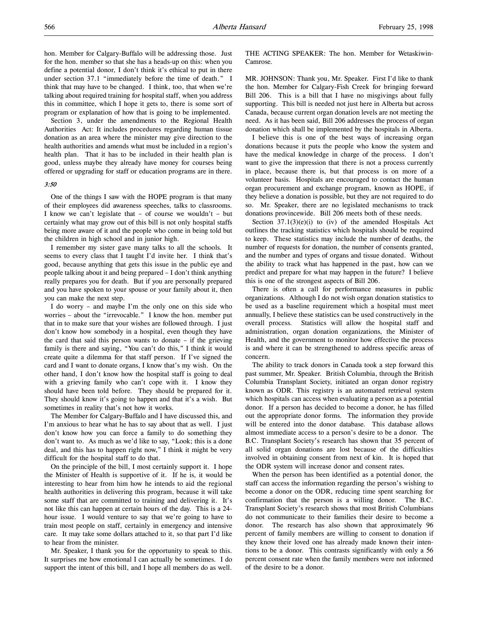hon. Member for Calgary-Buffalo will be addressing those. Just for the hon. member so that she has a heads-up on this: when you define a potential donor, I don't think it's ethical to put in there under section 37.1 "immediately before the time of death." I think that may have to be changed. I think, too, that when we're talking about required training for hospital staff, when you address this in committee, which I hope it gets to, there is some sort of program or explanation of how that is going to be implemented.

Section 3, under the amendments to the Regional Health Authorities Act: It includes procedures regarding human tissue donation as an area where the minister may give direction to the health authorities and amends what must be included in a region's health plan. That it has to be included in their health plan is good, unless maybe they already have money for courses being offered or upgrading for staff or education programs are in there.

#### 3:50

One of the things I saw with the HOPE program is that many of their employees did awareness speeches, talks to classrooms. I know we can't legislate that – of course we wouldn't – but certainly what may grow out of this bill is not only hospital staffs being more aware of it and the people who come in being told but the children in high school and in junior high.

I remember my sister gave many talks to all the schools. It seems to every class that I taught I'd invite her. I think that's good, because anything that gets this issue in the public eye and people talking about it and being prepared – I don't think anything really prepares you for death. But if you are personally prepared and you have spoken to your spouse or your family about it, then you can make the next step.

I do worry – and maybe I'm the only one on this side who worries – about the "irrevocable." I know the hon. member put that in to make sure that your wishes are followed through. I just don't know how somebody in a hospital, even though they have the card that said this person wants to donate – if the grieving family is there and saying, "You can't do this," I think it would create quite a dilemma for that staff person. If I've signed the card and I want to donate organs, I know that's my wish. On the other hand, I don't know how the hospital staff is going to deal with a grieving family who can't cope with it. I know they should have been told before. They should be prepared for it. They should know it's going to happen and that it's a wish. But sometimes in reality that's not how it works.

The Member for Calgary-Buffalo and I have discussed this, and I'm anxious to hear what he has to say about that as well. I just don't know how you can force a family to do something they don't want to. As much as we'd like to say, "Look; this is a done deal, and this has to happen right now," I think it might be very difficult for the hospital staff to do that.

On the principle of the bill, I most certainly support it. I hope the Minister of Health is supportive of it. If he is, it would be interesting to hear from him how he intends to aid the regional health authorities in delivering this program, because it will take some staff that are committed to training and delivering it. It's not like this can happen at certain hours of the day. This is a 24 hour issue. I would venture to say that we're going to have to train most people on staff, certainly in emergency and intensive care. It may take some dollars attached to it, so that part I'd like to hear from the minister.

Mr. Speaker, I thank you for the opportunity to speak to this. It surprises me how emotional I can actually be sometimes. I do support the intent of this bill, and I hope all members do as well. THE ACTING SPEAKER: The hon. Member for Wetaskiwin-Camrose.

MR. JOHNSON: Thank you, Mr. Speaker. First I'd like to thank the hon. Member for Calgary-Fish Creek for bringing forward Bill 206. This is a bill that I have no misgivings about fully supporting. This bill is needed not just here in Alberta but across Canada, because current organ donation levels are not meeting the need. As it has been said, Bill 206 addresses the process of organ donation which shall be implemented by the hospitals in Alberta.

I believe this is one of the best ways of increasing organ donations because it puts the people who know the system and have the medical knowledge in charge of the process. I don't want to give the impression that there is not a process currently in place, because there is, but that process is on more of a volunteer basis. Hospitals are encouraged to contact the human organ procurement and exchange program, known as HOPE, if they believe a donation is possible, but they are not required to do so. Mr. Speaker, there are no legislated mechanisms to track donations provincewide. Bill 206 meets both of these needs.

Section  $37.1(3)(e)(i)$  to (iv) of the amended Hospitals Act outlines the tracking statistics which hospitals should be required to keep. These statistics may include the number of deaths, the number of requests for donation, the number of consents granted, and the number and types of organs and tissue donated. Without the ability to track what has happened in the past, how can we predict and prepare for what may happen in the future? I believe this is one of the strongest aspects of Bill 206.

There is often a call for performance measures in public organizations. Although I do not wish organ donation statistics to be used as a baseline requirement which a hospital must meet annually, I believe these statistics can be used constructively in the overall process. Statistics will allow the hospital staff and administration, organ donation organizations, the Minister of Health, and the government to monitor how effective the process is and where it can be strengthened to address specific areas of concern.

The ability to track donors in Canada took a step forward this past summer, Mr. Speaker. British Columbia, through the British Columbia Transplant Society, initiated an organ donor registry known as ODR. This registry is an automated retrieval system which hospitals can access when evaluating a person as a potential donor. If a person has decided to become a donor, he has filled out the appropriate donor forms. The information they provide will be entered into the donor database. This database allows almost immediate access to a person's desire to be a donor. The B.C. Transplant Society's research has shown that 35 percent of all solid organ donations are lost because of the difficulties involved in obtaining consent from next of kin. It is hoped that the ODR system will increase donor and consent rates.

When the person has been identified as a potential donor, the staff can access the information regarding the person's wishing to become a donor on the ODR, reducing time spent searching for confirmation that the person is a willing donor. The B.C. Transplant Society's research shows that most British Columbians do not communicate to their families their desire to become a donor. The research has also shown that approximately 96 percent of family members are willing to consent to donation if they know their loved one has already made known their intentions to be a donor. This contrasts significantly with only a 56 percent consent rate when the family members were not informed of the desire to be a donor.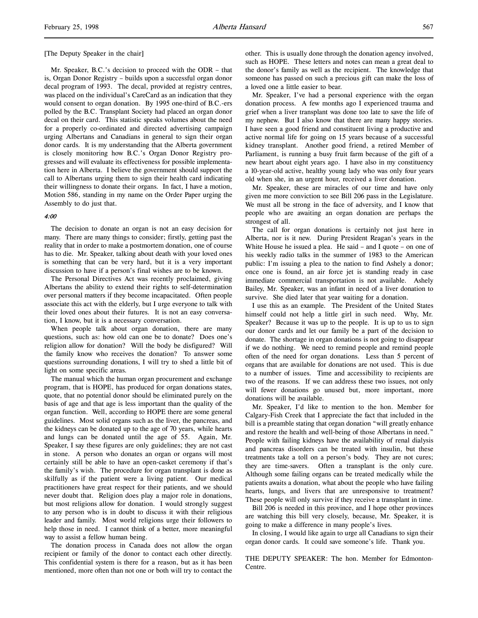[The Deputy Speaker in the chair]

Mr. Speaker, B.C.'s decision to proceed with the ODR – that is, Organ Donor Registry – builds upon a successful organ donor decal program of 1993. The decal, provided at registry centres, was placed on the individual's CareCard as an indication that they would consent to organ donation. By 1995 one-third of B.C.-ers polled by the B.C. Transplant Society had placed an organ donor decal on their card. This statistic speaks volumes about the need for a properly co-ordinated and directed advertising campaign urging Albertans and Canadians in general to sign their organ donor cards. It is my understanding that the Alberta government is closely monitoring how B.C.'s Organ Donor Registry progresses and will evaluate its effectiveness for possible implementation here in Alberta. I believe the government should support the call to Albertans urging them to sign their health card indicating their willingness to donate their organs. In fact, I have a motion, Motion 586, standing in my name on the Order Paper urging the Assembly to do just that.

### 4:00

The decision to donate an organ is not an easy decision for many. There are many things to consider; firstly, getting past the reality that in order to make a postmortem donation, one of course has to die. Mr. Speaker, talking about death with your loved ones is something that can be very hard, but it is a very important discussion to have if a person's final wishes are to be known.

The Personal Directives Act was recently proclaimed, giving Albertans the ability to extend their rights to self-determination over personal matters if they become incapacitated. Often people associate this act with the elderly, but I urge everyone to talk with their loved ones about their futures. It is not an easy conversation, I know, but it is a necessary conversation.

When people talk about organ donation, there are many questions, such as: how old can one be to donate? Does one's religion allow for donation? Will the body be disfigured? Will the family know who receives the donation? To answer some questions surrounding donations, I will try to shed a little bit of light on some specific areas.

The manual which the human organ procurement and exchange program, that is HOPE, has produced for organ donations states, quote, that no potential donor should be eliminated purely on the basis of age and that age is less important than the quality of the organ function. Well, according to HOPE there are some general guidelines. Most solid organs such as the liver, the pancreas, and the kidneys can be donated up to the age of 70 years, while hearts and lungs can be donated until the age of 55. Again, Mr. Speaker, I say these figures are only guidelines; they are not cast in stone. A person who donates an organ or organs will most certainly still be able to have an open-casket ceremony if that's the family's wish. The procedure for organ transplant is done as skilfully as if the patient were a living patient. Our medical practitioners have great respect for their patients, and we should never doubt that. Religion does play a major role in donations, but most religions allow for donation. I would strongly suggest to any person who is in doubt to discuss it with their religious leader and family. Most world religions urge their followers to help those in need. I cannot think of a better, more meaningful way to assist a fellow human being.

The donation process in Canada does not allow the organ recipient or family of the donor to contact each other directly. This confidential system is there for a reason, but as it has been mentioned, more often than not one or both will try to contact the other. This is usually done through the donation agency involved, such as HOPE. These letters and notes can mean a great deal to the donor's family as well as the recipient. The knowledge that someone has passed on such a precious gift can make the loss of a loved one a little easier to bear.

Mr. Speaker, I've had a personal experience with the organ donation process. A few months ago I experienced trauma and grief when a liver transplant was done too late to save the life of my nephew. But I also know that there are many happy stories. I have seen a good friend and constituent living a productive and active normal life for going on 15 years because of a successful kidney transplant. Another good friend, a retired Member of Parliament, is running a busy fruit farm because of the gift of a new heart about eight years ago. I have also in my constituency a 10-year-old active, healthy young lady who was only four years old when she, in an urgent hour, received a liver donation.

Mr. Speaker, these are miracles of our time and have only given me more conviction to see Bill 206 pass in the Legislature. We must all be strong in the face of adversity, and I know that people who are awaiting an organ donation are perhaps the strongest of all.

The call for organ donations is certainly not just here in Alberta, nor is it new. During President Reagan's years in the White House he issued a plea. He said – and I quote – on one of his weekly radio talks in the summer of 1983 to the American public: I'm issuing a plea to the nation to find Ashely a donor; once one is found, an air force jet is standing ready in case immediate commercial transportation is not available. Ashely Bailey, Mr. Speaker, was an infant in need of a liver donation to survive. She died later that year waiting for a donation.

I use this as an example. The President of the United States himself could not help a little girl in such need. Why, Mr. Speaker? Because it was up to the people. It is up to us to sign our donor cards and let our family be a part of the decision to donate. The shortage in organ donations is not going to disappear if we do nothing. We need to remind people and remind people often of the need for organ donations. Less than 5 percent of organs that are available for donations are not used. This is due to a number of issues. Time and accessibility to recipients are two of the reasons. If we can address these two issues, not only will fewer donations go unused but, more important, more donations will be available.

Mr. Speaker, I'd like to mention to the hon. Member for Calgary-Fish Creek that I appreciate the fact that included in the bill is a preamble stating that organ donation "will greatly enhance and restore the health and well-being of those Albertans in need." People with failing kidneys have the availability of renal dialysis and pancreas disorders can be treated with insulin, but these treatments take a toll on a person's body. They are not cures; they are time-savers. Often a transplant is the only cure. Although some failing organs can be treated medically while the patients awaits a donation, what about the people who have failing hearts, lungs, and livers that are unresponsive to treatment? These people will only survive if they receive a transplant in time.

Bill 206 is needed in this province, and I hope other provinces are watching this bill very closely, because, Mr. Speaker, it is going to make a difference in many people's lives.

In closing, I would like again to urge all Canadians to sign their organ donor cards. It could save someone's life. Thank you.

THE DEPUTY SPEAKER: The hon. Member for Edmonton-Centre.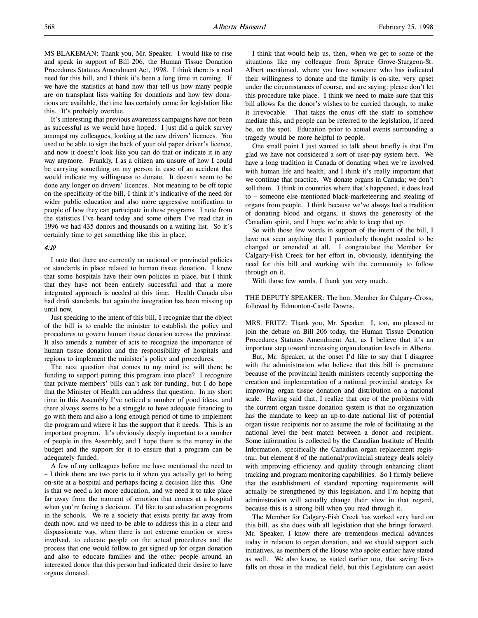MS BLAKEMAN: Thank you, Mr. Speaker. I would like to rise and speak in support of Bill 206, the Human Tissue Donation Procedures Statutes Amendment Act, 1998. I think there is a real need for this bill, and I think it's been a long time in coming. If we have the statistics at hand now that tell us how many people are on transplant lists waiting for donations and how few donations are available, the time has certainly come for legislation like this. It's probably overdue.

It's interesting that previous awareness campaigns have not been as successful as we would have hoped. I just did a quick survey amongst my colleagues, looking at the new drivers' licences. You used to be able to sign the back of your old paper driver's licence, and now it doesn't look like you can do that or indicate it in any way anymore. Frankly, I as a citizen am unsure of how I could be carrying something on my person in case of an accident that would indicate my willingness to donate. It doesn't seem to be done any longer on drivers' licences. Not meaning to be off topic on the specificity of the bill, I think it's indicative of the need for wider public education and also more aggressive notification to people of how they can participate in these programs. I note from the statistics I've heard today and some others I've read that in 1996 we had 435 donors and thousands on a waiting list. So it's certainly time to get something like this in place.

#### 4:10

I note that there are currently no national or provincial policies or standards in place related to human tissue donation. I know that some hospitals have their own policies in place, but I think that they have not been entirely successful and that a more integrated approach is needed at this time. Health Canada also had draft standards, but again the integration has been missing up until now.

Just speaking to the intent of this bill, I recognize that the object of the bill is to enable the minister to establish the policy and procedures to govern human tissue donation across the province. It also amends a number of acts to recognize the importance of human tissue donation and the responsibility of hospitals and regions to implement the minister's policy and procedures.

The next question that comes to my mind is: will there be funding to support putting this program into place? I recognize that private members' bills can't ask for funding, but I do hope that the Minister of Health can address that question. In my short time in this Assembly I've noticed a number of good ideas, and there always seems to be a struggle to have adequate financing to go with them and also a long enough period of time to implement the program and where it has the support that it needs. This is an important program. It's obviously deeply important to a number of people in this Assembly, and I hope there is the money in the budget and the support for it to ensure that a program can be adequately funded.

A few of my colleagues before me have mentioned the need to – I think there are two parts to it when you actually get to being on-site at a hospital and perhaps facing a decision like this. One is that we need a lot more education, and we need it to take place far away from the moment of emotion that comes at a hospital when you're facing a decision. I'd like to see education programs in the schools. We're a society that exists pretty far away from death now, and we need to be able to address this in a clear and dispassionate way, when there is not extreme emotion or stress involved, to educate people on the actual procedures and the process that one would follow to get signed up for organ donation and also to educate families and the other people around an interested donor that this person had indicated their desire to have organs donated.

I think that would help us, then, when we get to some of the situations like my colleague from Spruce Grove-Sturgeon-St. Albert mentioned, where you have someone who has indicated their willingness to donate and the family is on-site, very upset under the circumstances of course, and are saying: please don't let this procedure take place. I think we need to make sure that this bill allows for the donor's wishes to be carried through, to make it irrevocable. That takes the onus off the staff to somehow mediate this, and people can be referred to the legislation, if need be, on the spot. Education prior to actual events surrounding a tragedy would be more helpful to people.

One small point I just wanted to talk about briefly is that I'm glad we have not considered a sort of user-pay system here. We have a long tradition in Canada of donating when we're involved with human life and health, and I think it's really important that we continue that practice. We donate organs in Canada; we don't sell them. I think in countries where that's happened, it does lead to – someone else mentioned black-marketeering and stealing of organs from people. I think because we've always had a tradition of donating blood and organs, it shows the generosity of the Canadian spirit, and I hope we're able to keep that up.

So with those few words in support of the intent of the bill, I have not seen anything that I particularly thought needed to be changed or amended at all. I congratulate the Member for Calgary-Fish Creek for her effort in, obviously, identifying the need for this bill and working with the community to follow through on it.

With those few words, I thank you very much.

THE DEPUTY SPEAKER: The hon. Member for Calgary-Cross, followed by Edmonton-Castle Downs.

MRS. FRITZ: Thank you, Mr. Speaker. I, too, am pleased to join the debate on Bill 206 today, the Human Tissue Donation Procedures Statutes Amendment Act, as I believe that it's an important step toward increasing organ donation levels in Alberta.

But, Mr. Speaker, at the onset I'd like to say that I disagree with the administration who believe that this bill is premature because of the provincial health ministers recently supporting the creation and implementation of a national provincial strategy for improving organ tissue donation and distribution on a national scale. Having said that, I realize that one of the problems with the current organ tissue donation system is that no organization has the mandate to keep an up-to-date national list of potential organ tissue recipients nor to assume the role of facilitating at the national level the best match between a donor and recipient. Some information is collected by the Canadian Institute of Health Information, specifically the Canadian organ replacement registrar, but element 8 of the national/provincial strategy deals solely with improving efficiency and quality through enhancing client tracking and program monitoring capabilities. So I firmly believe that the establishment of standard reporting requirements will actually be strengthened by this legislation, and I'm hoping that administration will actually change their view in that regard, because this is a strong bill when you read through it.

The Member for Calgary-Fish Creek has worked very hard on this bill, as she does with all legislation that she brings forward. Mr. Speaker, I know there are tremendous medical advances today in relation to organ donation, and we should support such initiatives, as members of the House who spoke earlier have stated as well. We also know, as stated earlier too, that saving lives falls on those in the medical field, but this Legislature can assist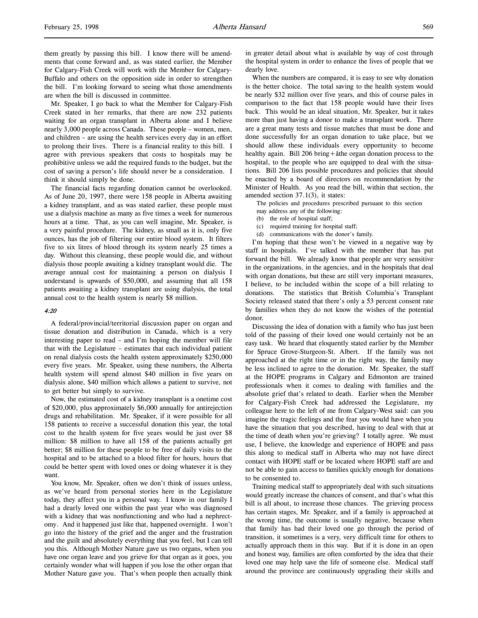them greatly by passing this bill. I know there will be amendments that come forward and, as was stated earlier, the Member for Calgary-Fish Creek will work with the Member for Calgary-Buffalo and others on the opposition side in order to strengthen the bill. I'm looking forward to seeing what those amendments are when the bill is discussed in committee.

Mr. Speaker, I go back to what the Member for Calgary-Fish Creek stated in her remarks, that there are now 232 patients waiting for an organ transplant in Alberta alone and I believe nearly 3,000 people across Canada. These people – women, men, and children – are using the health services every day in an effort to prolong their lives. There is a financial reality to this bill. I agree with previous speakers that costs to hospitals may be prohibitive unless we add the required funds to the budget, but the cost of saving a person's life should never be a consideration. I think it should simply be done.

The financial facts regarding donation cannot be overlooked. As of June 20, 1997, there were 158 people in Alberta awaiting a kidney transplant, and as was stated earlier, these people must use a dialysis machine as many as five times a week for numerous hours at a time. That, as you can well imagine, Mr. Speaker, is a very painful procedure. The kidney, as small as it is, only five ounces, has the job of filtering our entire blood system. It filters five to six litres of blood through its system nearly 25 times a day. Without this cleansing, these people would die, and without dialysis those people awaiting a kidney transplant would die. The average annual cost for maintaining a person on dialysis I understand is upwards of \$50,000, and assuming that all 158 patients awaiting a kidney transplant are using dialysis, the total annual cost to the health system is nearly \$8 million.

#### 4:20

A federal/provincial/territorial discussion paper on organ and tissue donation and distribution in Canada, which is a very interesting paper to read – and I'm hoping the member will file that with the Legislature – estimates that each individual patient on renal dialysis costs the health system approximately \$250,000 every five years. Mr. Speaker, using these numbers, the Alberta health system will spend almost \$40 million in five years on dialysis alone, \$40 million which allows a patient to survive, not to get better but simply to survive.

Now, the estimated cost of a kidney transplant is a onetime cost of \$20,000, plus approximately \$6,000 annually for antirejection drugs and rehabilitation. Mr. Speaker, if it were possible for all 158 patients to receive a successful donation this year, the total cost to the health system for five years would be just over \$8 million: \$8 million to have all 158 of the patients actually get better; \$8 million for these people to be free of daily visits to the hospital and to be attached to a blood filter for hours, hours that could be better spent with loved ones or doing whatever it is they want.

You know, Mr. Speaker, often we don't think of issues unless, as we've heard from personal stories here in the Legislature today, they affect you in a personal way. I know in our family I had a dearly loved one within the past year who was diagnosed with a kidney that was nonfunctioning and who had a nephrectomy. And it happened just like that, happened overnight. I won't go into the history of the grief and the anger and the frustration and the guilt and absolutely everything that you feel, but I can tell you this. Although Mother Nature gave us two organs, when you have one organ leave and you grieve for that organ as it goes, you certainly wonder what will happen if you lose the other organ that Mother Nature gave you. That's when people then actually think

in greater detail about what is available by way of cost through the hospital system in order to enhance the lives of people that we dearly love.

When the numbers are compared, it is easy to see why donation is the better choice. The total saving to the health system would be nearly \$32 million over five years, and this of course pales in comparison to the fact that 158 people would have their lives back. This would be an ideal situation, Mr. Speaker, but it takes more than just having a donor to make a transplant work. There are a great many tests and tissue matches that must be done and done successfully for an organ donation to take place, but we should allow these individuals every opportunity to become healthy again. Bill 206 bring+åthe organ donation process to the hospital, to the people who are equipped to deal with the situations. Bill 206 lists possible procedures and policies that should be enacted by a board of directors on recommendation by the Minister of Health. As you read the bill, within that section, the amended section 37.1(3), it states:

The policies and procedures prescribed pursuant to this section may address any of the following:

- (b) the role of hospital staff;
- (c) required training for hospital staff;
- (d) communications with the donor's family.

I'm hoping that these won't be viewed in a negative way by staff in hospitals. I've talked with the member that has put forward the bill. We already know that people are very sensitive in the organizations, in the agencies, and in the hospitals that deal with organ donations, but these are still very important measures, I believe, to be included within the scope of a bill relating to donations. The statistics that British Columbia's Transplant Society released stated that there's only a 53 percent consent rate by families when they do not know the wishes of the potential donor.

Discussing the idea of donation with a family who has just been told of the passing of their loved one would certainly not be an easy task. We heard that eloquently stated earlier by the Member for Spruce Grove-Sturgeon-St. Albert. If the family was not approached at the right time or in the right way, the family may be less inclined to agree to the donation. Mr. Speaker, the staff at the HOPE programs in Calgary and Edmonton are trained professionals when it comes to dealing with families and the absolute grief that's related to death. Earlier when the Member for Calgary-Fish Creek had addressed the Legislature, my colleague here to the left of me from Calgary-West said: can you imagine the tragic feelings and the fear you would have when you have the situation that you described, having to deal with that at the time of death when you're grieving? I totally agree. We must use, I believe, the knowledge and experience of HOPE and pass this along to medical staff in Alberta who may not have direct contact with HOPE staff or be located where HOPE staff are and not be able to gain access to families quickly enough for donations to be consented to.

Training medical staff to appropriately deal with such situations would greatly increase the chances of consent, and that's what this bill is all about, to increase those chances. The grieving process has certain stages, Mr. Speaker, and if a family is approached at the wrong time, the outcome is usually negative, because when that family has had their loved one go through the period of transition, it sometimes is a very, very difficult time for others to actually approach them in this way. But if it is done in an open and honest way, families are often comforted by the idea that their loved one may help save the life of someone else. Medical staff around the province are continuously upgrading their skills and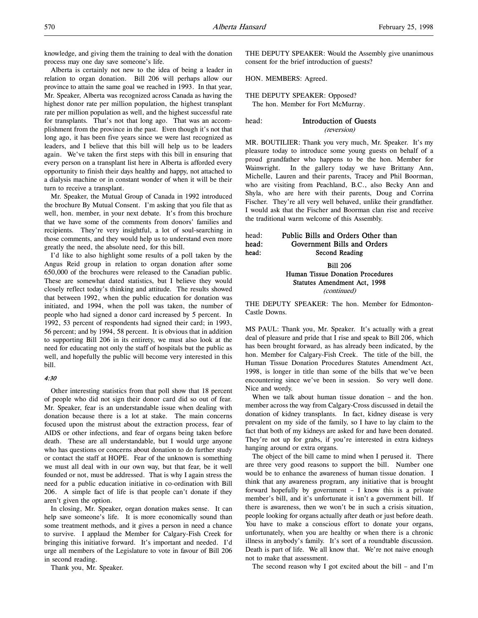Alberta is certainly not new to the idea of being a leader in relation to organ donation. Bill 206 will perhaps allow our province to attain the same goal we reached in 1993. In that year, Mr. Speaker, Alberta was recognized across Canada as having the highest donor rate per million population, the highest transplant rate per million population as well, and the highest successful rate for transplants. That's not that long ago. That was an accomplishment from the province in the past. Even though it's not that long ago, it has been five years since we were last recognized as leaders, and I believe that this bill will help us to be leaders again. We've taken the first steps with this bill in ensuring that every person on a transplant list here in Alberta is afforded every opportunity to finish their days healthy and happy, not attached to a dialysis machine or in constant wonder of when it will be their turn to receive a transplant.

Mr. Speaker, the Mutual Group of Canada in 1992 introduced the brochure By Mutual Consent. I'm asking that you file that as well, hon. member, in your next debate. It's from this brochure that we have some of the comments from donors' families and recipients. They're very insightful, a lot of soul-searching in those comments, and they would help us to understand even more greatly the need, the absolute need, for this bill.

I'd like to also highlight some results of a poll taken by the Angus Reid group in relation to organ donation after some 650,000 of the brochures were released to the Canadian public. These are somewhat dated statistics, but I believe they would closely reflect today's thinking and attitude. The results showed that between 1992, when the public education for donation was initiated, and 1994, when the poll was taken, the number of people who had signed a donor card increased by 5 percent. In 1992, 53 percent of respondents had signed their card; in 1993, 56 percent; and by 1994, 58 percent. It is obvious that in addition to supporting Bill 206 in its entirety, we must also look at the need for educating not only the staff of hospitals but the public as well, and hopefully the public will become very interested in this bill.

### 4:30

Other interesting statistics from that poll show that 18 percent of people who did not sign their donor card did so out of fear. Mr. Speaker, fear is an understandable issue when dealing with donation because there is a lot at stake. The main concerns focused upon the mistrust about the extraction process, fear of AIDS or other infections, and fear of organs being taken before death. These are all understandable, but I would urge anyone who has questions or concerns about donation to do further study or contact the staff at HOPE. Fear of the unknown is something we must all deal with in our own way, but that fear, be it well founded or not, must be addressed. That is why I again stress the need for a public education initiative in co-ordination with Bill 206. A simple fact of life is that people can't donate if they aren't given the option.

In closing, Mr. Speaker, organ donation makes sense. It can help save someone's life. It is more economically sound than some treatment methods, and it gives a person in need a chance to survive. I applaud the Member for Calgary-Fish Creek for bringing this initiative forward. It's important and needed. I'd urge all members of the Legislature to vote in favour of Bill 206 in second reading.

Thank you, Mr. Speaker.

THE DEPUTY SPEAKER: Would the Assembly give unanimous consent for the brief introduction of guests?

HON. MEMBERS: Agreed.

THE DEPUTY SPEAKER: Opposed? The hon. Member for Fort McMurray.

head: Introduction of Guests (reversion)

MR. BOUTILIER: Thank you very much, Mr. Speaker. It's my pleasure today to introduce some young guests on behalf of a proud grandfather who happens to be the hon. Member for Wainwright. In the gallery today we have Brittany Ann, Michelle, Lauren and their parents, Tracey and Phil Boorman, who are visiting from Peachland, B.C., also Becky Ann and Shyla, who are here with their parents, Doug and Corrina Fischer. They're all very well behaved, unlike their grandfather. I would ask that the Fischer and Boorman clan rise and receive the traditional warm welcome of this Assembly.

# head: Public Bills and Orders Other than head: Government Bills and Orders head: Second Reading

Bill 206 Human Tissue Donation Procedures Statutes Amendment Act, 1998 (continued)

THE DEPUTY SPEAKER: The hon. Member for Edmonton-Castle Downs.

MS PAUL: Thank you, Mr. Speaker. It's actually with a great deal of pleasure and pride that I rise and speak to Bill 206, which has been brought forward, as has already been indicated, by the hon. Member for Calgary-Fish Creek. The title of the bill, the Human Tissue Donation Procedures Statutes Amendment Act, 1998, is longer in title than some of the bills that we've been encountering since we've been in session. So very well done. Nice and wordy.

When we talk about human tissue donation – and the hon. member across the way from Calgary-Cross discussed in detail the donation of kidney transplants. In fact, kidney disease is very prevalent on my side of the family, so I have to lay claim to the fact that both of my kidneys are asked for and have been donated. They're not up for grabs, if you're interested in extra kidneys hanging around or extra organs.

The object of the bill came to mind when I perused it. There are three very good reasons to support the bill. Number one would be to enhance the awareness of human tissue donation. I think that any awareness program, any initiative that is brought forward hopefully by government  $-$  I know this is a private member's bill, and it's unfortunate it isn't a government bill. If there is awareness, then we won't be in such a crisis situation, people looking for organs actually after death or just before death. You have to make a conscious effort to donate your organs, unfortunately, when you are healthy or when there is a chronic illness in anybody's family. It's sort of a roundtable discussion. Death is part of life. We all know that. We're not naive enough not to make that assessment.

The second reason why I got excited about the bill – and I'm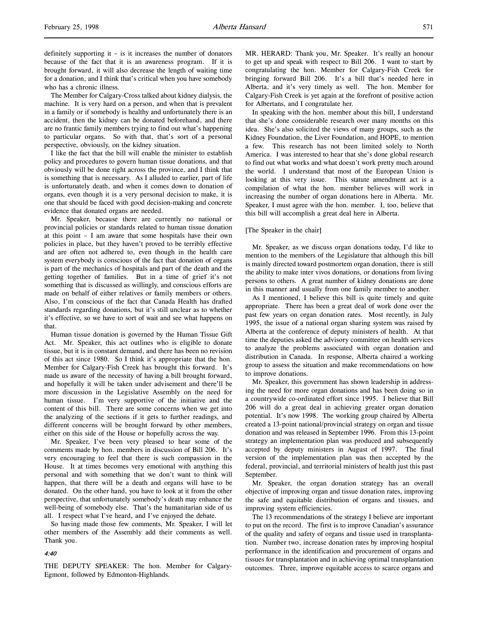definitely supporting it – is it increases the number of donators because of the fact that it is an awareness program. If it is brought forward, it will also decrease the length of waiting time for a donation, and I think that's critical when you have somebody who has a chronic illness.

The Member for Calgary-Cross talked about kidney dialysis, the machine. It is very hard on a person, and when that is prevalent in a family or if somebody is healthy and unfortunately there is an accident, then the kidney can be donated beforehand, and there are no frantic family members trying to find out what's happening to particular organs. So with that, that's sort of a personal perspective, obviously, on the kidney situation.

I like the fact that the bill will enable the minister to establish policy and procedures to govern human tissue donations, and that obviously will be done right across the province, and I think that is something that is necessary. As I alluded to earlier, part of life is unfortunately death, and when it comes down to donation of organs, even though it is a very personal decision to make, it is one that should be faced with good decision-making and concrete evidence that donated organs are needed.

Mr. Speaker, because there are currently no national or provincial policies or standards related to human tissue donation at this point – I am aware that some hospitals have their own policies in place, but they haven't proved to be terribly effective and are often not adhered to, even though in the health care system everybody is conscious of the fact that donation of organs is part of the mechanics of hospitals and part of the death and the getting together of families. But in a time of grief it's not something that is discussed as willingly, and conscious efforts are made on behalf of either relatives or family members or others. Also, I'm conscious of the fact that Canada Health has drafted standards regarding donations, but it's still unclear as to whether it's effective, so we have to sort of wait and see what happens on that.

Human tissue donation is governed by the Human Tissue Gift Act. Mr. Speaker, this act outlines who is eligible to donate tissue, but it is in constant demand, and there has been no revision of this act since 1980. So I think it's appropriate that the hon. Member for Calgary-Fish Creek has brought this forward. It's made us aware of the necessity of having a bill brought forward, and hopefully it will be taken under advisement and there'll be more discussion in the Legislative Assembly on the need for human tissue. I'm very supportive of the initiative and the content of this bill. There are some concerns when we get into the analyzing of the sections if it gets to further readings, and different concerns will be brought forward by other members, either on this side of the House or hopefully across the way.

Mr. Speaker, I've been very pleased to hear some of the comments made by hon. members in discussion of Bill 206. It's very encouraging to feel that there is such compassion in the House. It at times becomes very emotional with anything this personal and with something that we don't want to think will happen, that there will be a death and organs will have to be donated. On the other hand, you have to look at it from the other perspective, that unfortunately somebody's death may enhance the well-being of somebody else. That's the humanitarian side of us all. I respect what I've heard, and I've enjoyed the debate.

So having made those few comments, Mr. Speaker, I will let other members of the Assembly add their comments as well. Thank you.

#### 4:40

THE DEPUTY SPEAKER: The hon. Member for Calgary-Egmont, followed by Edmonton-Highlands.

MR. HERARD: Thank you, Mr. Speaker. It's really an honour to get up and speak with respect to Bill 206. I want to start by congratulating the hon. Member for Calgary-Fish Creek for bringing forward Bill 206. It's a bill that's needed here in Alberta, and it's very timely as well. The hon. Member for Calgary-Fish Creek is yet again at the forefront of positive action for Albertans, and I congratulate her.

In speaking with the hon. member about this bill, I understand that she's done considerable research over many months on this idea. She's also solicited the views of many groups, such as the Kidney Foundation, the Liver Foundation, and HOPE, to mention a few. This research has not been limited solely to North America. I was interested to hear that she's done global research to find out what works and what doesn't work pretty much around the world. I understand that most of the European Union is looking at this very issue. This statute amendment act is a compilation of what the hon. member believes will work in increasing the number of organ donations here in Alberta. Mr. Speaker, I must agree with the hon. member. I, too, believe that this bill will accomplish a great deal here in Alberta.

### [The Speaker in the chair]

Mr. Speaker, as we discuss organ donations today, I'd like to mention to the members of the Legislature that although this bill is mainly directed toward postmortem organ donation, there is still the ability to make inter vivos donations, or donations from living persons to others. A great number of kidney donations are done in this manner and usually from one family member to another.

As I mentioned, I believe this bill is quite timely and quite appropriate. There has been a great deal of work done over the past few years on organ donation rates. Most recently, in July 1995, the issue of a national organ sharing system was raised by Alberta at the conference of deputy ministers of health. At that time the deputies asked the advisory committee on health services to analyze the problems associated with organ donation and distribution in Canada. In response, Alberta chaired a working group to assess the situation and make recommendations on how to improve donations.

Mr. Speaker, this government has shown leadership in addressing the need for more organ donations and has been doing so in a countrywide co-ordinated effort since 1995. I believe that Bill 206 will do a great deal in achieving greater organ donation potential. It's now 1998. The working group chaired by Alberta created a 13-point national/provincial strategy on organ and tissue donation and was released in September 1996. From this 13-point strategy an implementation plan was produced and subsequently accepted by deputy ministers in August of 1997. The final version of the implementation plan was then accepted by the federal, provincial, and territorial ministers of health just this past September.

Mr. Speaker, the organ donation strategy has an overall objective of improving organ and tissue donation rates, improving the safe and equitable distribution of organs and tissues, and improving system efficiencies.

The 13 recommendations of the strategy I believe are important to put on the record. The first is to improve Canadian's assurance of the quality and safety of organs and tissue used in transplantation. Number two, increase donation rates by improving hospital performance in the identification and procurement of organs and tissues for transplantation and in achieving optimal transplantation outcomes. Three, improve equitable access to scarce organs and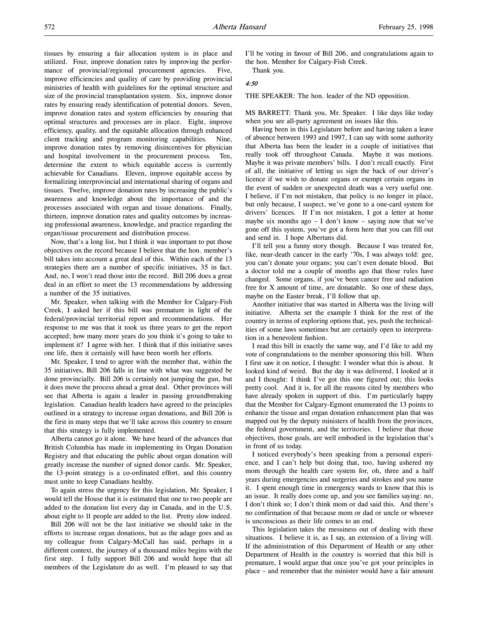tissues by ensuring a fair allocation system is in place and utilized. Four, improve donation rates by improving the performance of provincial/regional procurement agencies. Five, improve efficiencies and quality of care by providing provincial ministries of health with guidelines for the optimal structure and size of the provincial transplantation system. Six, improve donor rates by ensuring ready identification of potential donors. Seven, improve donation rates and system efficiencies by ensuring that optimal structures and processes are in place. Eight, improve efficiency, quality, and the equitable allocation through enhanced client tracking and program monitoring capabilities. Nine, improve donation rates by removing disincentives for physician and hospital involvement in the procurement process. Ten, determine the extent to which equitable access is currently achievable for Canadians. Eleven, improve equitable access by formalizing interprovincial and international sharing of organs and tissues. Twelve, improve donation rates by increasing the public's awareness and knowledge about the importance of and the processes associated with organ and tissue donations. Finally, thirteen, improve donation rates and quality outcomes by increasing professional awareness, knowledge, and practice regarding the organ/tissue procurement and distribution process.

Now, that's a long list, but I think it was important to put those objectives on the record because I believe that the hon. member's bill takes into account a great deal of this. Within each of the 13 strategies there are a number of specific initiatives, 35 in fact. And, no, I won't read those into the record. Bill 206 does a great deal in an effort to meet the 13 recommendations by addressing a number of the 35 initiatives.

Mr. Speaker, when talking with the Member for Calgary-Fish Creek, I asked her if this bill was premature in light of the federal/provincial territorial report and recommendations. Her response to me was that it took us three years to get the report accepted; how many more years do you think it's going to take to implement it? I agree with her. I think that if this initiative saves one life, then it certainly will have been worth her efforts.

Mr. Speaker, I tend to agree with the member that, within the 35 initiatives, Bill 206 falls in line with what was suggested be done provincially. Bill 206 is certainly not jumping the gun, but it does move the process ahead a great deal. Other provinces will see that Alberta is again a leader in passing groundbreaking legislation. Canadian health leaders have agreed to the principles outlined in a strategy to increase organ donations, and Bill 206 is the first in many steps that we'll take across this country to ensure that this strategy is fully implemented.

Alberta cannot go it alone. We have heard of the advances that British Columbia has made in implementing its Organ Donation Registry and that educating the public about organ donation will greatly increase the number of signed donor cards. Mr. Speaker, the 13-point strategy is a co-ordinated effort, and this country must unite to keep Canadians healthy.

To again stress the urgency for this legislation, Mr. Speaker, I would tell the House that it is estimated that one to two people are added to the donation list every day in Canada, and in the U.S. about eight to 11 people are added to the list. Pretty slow indeed.

Bill 206 will not be the last initiative we should take in the efforts to increase organ donations, but as the adage goes and as my colleague from Calgary-McCall has said, perhaps in a different context, the journey of a thousand miles begins with the first step. I fully support Bill 206 and would hope that all members of the Legislature do as well. I'm pleased to say that

I'll be voting in favour of Bill 206, and congratulations again to the hon. Member for Calgary-Fish Creek.

Thank you.

#### 4:50

THE SPEAKER: The hon. leader of the ND opposition.

MS BARRETT: Thank you, Mr. Speaker. I like days like today when you see all-party agreement on issues like this.

Having been in this Legislature before and having taken a leave of absence between 1993 and 1997, I can say with some authority that Alberta has been the leader in a couple of initiatives that really took off throughout Canada. Maybe it was motions. Maybe it was private members' bills. I don't recall exactly. First of all, the initiative of letting us sign the back of our driver's licence if we wish to donate organs or exempt certain organs in the event of sudden or unexpected death was a very useful one. I believe, if I'm not mistaken, that policy is no longer in place, but only because, I suspect, we've gone to a one-card system for drivers' licences. If I'm not mistaken, I got a letter at home maybe six months ago  $- I$  don't know  $-$  saying now that we've gone off this system, you've got a form here that you can fill out and send in. I hope Albertans did.

I'll tell you a funny story though. Because I was treated for, like, near-death cancer in the early '70s, I was always told: gee, you can't donate your organs; you can't even donate blood. But a doctor told me a couple of months ago that those rules have changed. Some organs, if you've been cancer free and radiation free for X amount of time, are donatable. So one of these days, maybe on the Easter break, I'll follow that up.

Another initiative that was started in Alberta was the living will initiative. Alberta set the example I think for the rest of the country in terms of exploring options that, yes, push the technicalities of some laws sometimes but are certainly open to interpretation in a benevolent fashion.

I read this bill in exactly the same way, and I'd like to add my vote of congratulations to the member sponsoring this bill. When I first saw it on notice, I thought: I wonder what this is about. It looked kind of weird. But the day it was delivered, I looked at it and I thought: I think I've got this one figured out; this looks pretty cool. And it is, for all the reasons cited by members who have already spoken in support of this. I'm particularly happy that the Member for Calgary-Egmont enumerated the 13 points to enhance the tissue and organ donation enhancement plan that was mapped out by the deputy ministers of health from the provinces, the federal government, and the territories. I believe that those objectives, those goals, are well embodied in the legislation that's in front of us today.

I noticed everybody's been speaking from a personal experience, and I can't help but doing that, too, having ushered my mom through the health care system for, oh, three and a half years during emergencies and surgeries and strokes and you name it. I spent enough time in emergency wards to know that this is an issue. It really does come up, and you see families saying: no, I don't think so; I don't think mom or dad said this. And there's no confirmation of that because mom or dad or uncle or whoever is unconscious as their life comes to an end.

This legislation takes the messiness out of dealing with these situations. I believe it is, as I say, an extension of a living will. If the administration of this Department of Health or any other Department of Health in the country is worried that this bill is premature, I would argue that once you've got your principles in place – and remember that the minister would have a fair amount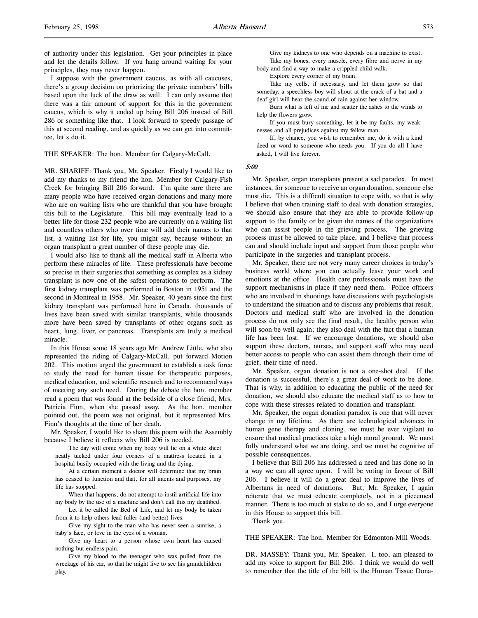of authority under this legislation. Get your principles in place and let the details follow. If you hang around waiting for your principles, they may never happen.

I suppose with the government caucus, as with all caucuses, there's a group decision on priorizing the private members' bills based upon the luck of the draw as well. I can only assume that there was a fair amount of support for this in the government caucus, which is why it ended up being Bill 206 instead of Bill 286 or something like that. I look forward to speedy passage of this at second reading, and as quickly as we can get into committee, let's do it.

#### THE SPEAKER: The hon. Member for Calgary-McCall.

MR. SHARIFF: Thank you, Mr. Speaker. Firstly I would like to add my thanks to my friend the hon. Member for Calgary-Fish Creek for bringing Bill 206 forward. I'm quite sure there are many people who have received organ donations and many more who are on waiting lists who are thankful that you have brought this bill to the Legislature. This bill may eventually lead to a better life for those 232 people who are currently on a waiting list and countless others who over time will add their names to that list, a waiting list for life, you might say, because without an organ transplant a great number of these people may die.

I would also like to thank all the medical staff in Alberta who perform these miracles of life. These professionals have become so precise in their surgeries that something as complex as a kidney transplant is now one of the safest operations to perform. The first kidney transplant was performed in Boston in 1951 and the second in Montreal in 1958. Mr. Speaker, 40 years since the first kidney transplant was performed here in Canada, thousands of lives have been saved with similar transplants, while thousands more have been saved by transplants of other organs such as heart, lung, liver, or pancreas. Transplants are truly a medical miracle.

In this House some 18 years ago Mr. Andrew Little, who also represented the riding of Calgary-McCall, put forward Motion 202. This motion urged the government to establish a task force to study the need for human tissue for therapeutic purposes, medical education, and scientific research and to recommend ways of meeting any such need. During the debate the hon. member read a poem that was found at the bedside of a close friend, Mrs. Patricia Finn, when she passed away. As the hon. member pointed out, the poem was not original, but it represented Mrs. Finn's thoughts at the time of her death.

Mr. Speaker, I would like to share this poem with the Assembly because I believe it reflects why Bill 206 is needed.

The day will come when my body will lie on a white sheet neatly tucked under four corners of a mattress located in a hospital busily occupied with the living and the dying.

At a certain moment a doctor will determine that my brain has ceased to function and that, for all intents and purposes, my life has stopped.

When that happens, do not attempt to instil artificial life into my body by the use of a machine and don't call this my deathbed.

Let it be called the Bed of Life, and let my body be taken from it to help others lead fuller (and better) lives.

Give my sight to the man who has never seen a sunrise, a baby's face, or love in the eyes of a woman.

Give my heart to a person whose own heart has caused nothing but endless pain.

Give my blood to the teenager who was pulled from the wreckage of his car, so that he might live to see his grandchildren play.

Give my kidneys to one who depends on a machine to exist. Take my bones, every muscle, every fibre and nerve in my body and find a way to make a crippled child walk.

Explore every corner of my brain.

Take my cells, if necessary, and let them grow so that someday, a speechless boy will shout at the crack of a bat and a deaf girl will hear the sound of rain against her window.

Burn what is left of me and scatter the ashes to the winds to help the flowers grow.

If you must bury something, let it be my faults, my weaknesses and all prejudices against my fellow man.

If, by chance, you wish to remember me, do it with a kind deed or word to someone who needs you. If you do all I have asked, I will live forever.

#### 5:00

Mr. Speaker, organ transplants present a sad paradox. In most instances, for someone to receive an organ donation, someone else must die. This is a difficult situation to cope with, so that is why I believe that when training staff to deal with donation strategies, we should also ensure that they are able to provide follow-up support to the family or be given the names of the organizations who can assist people in the grieving process. The grieving process must be allowed to take place, and I believe that process can and should include input and support from those people who participate in the surgeries and transplant process.

Mr. Speaker, there are not very many career choices in today's business world where you can actually leave your work and emotions at the office. Health care professionals must have the support mechanisms in place if they need them. Police officers who are involved in shootings have discussions with psychologists to understand the situation and to discuss any problems that result. Doctors and medical staff who are involved in the donation process do not only see the final result, the healthy person who will soon be well again; they also deal with the fact that a human life has been lost. If we encourage donations, we should also support these doctors, nurses, and support staff who may need better access to people who can assist them through their time of grief, their time of need.

Mr. Speaker, organ donation is not a one-shot deal. If the donation is successful, there's a great deal of work to be done. That is why, in addition to educating the public of the need for donation, we should also educate the medical staff as to how to cope with these stresses related to donation and transplant.

Mr. Speaker, the organ donation paradox is one that will never change in my lifetime. As there are technological advances in human gene therapy and cloning, we must be ever vigilant to ensure that medical practices take a high moral ground. We must fully understand what we are doing, and we must be cognitive of possible consequences.

I believe that Bill 206 has addressed a need and has done so in a way we can all agree upon. I will be voting in favour of Bill 206. I believe it will do a great deal to improve the lives of Albertans in need of donations. But, Mr. Speaker, I again reiterate that we must educate completely, not in a piecemeal manner. There is too much at stake to do so, and I urge everyone in this House to support this bill.

Thank you.

THE SPEAKER: The hon. Member for Edmonton-Mill Woods.

DR. MASSEY: Thank you, Mr. Speaker. I, too, am pleased to add my voice to support for Bill 206. I think we would do well to remember that the title of the bill is the Human Tissue Dona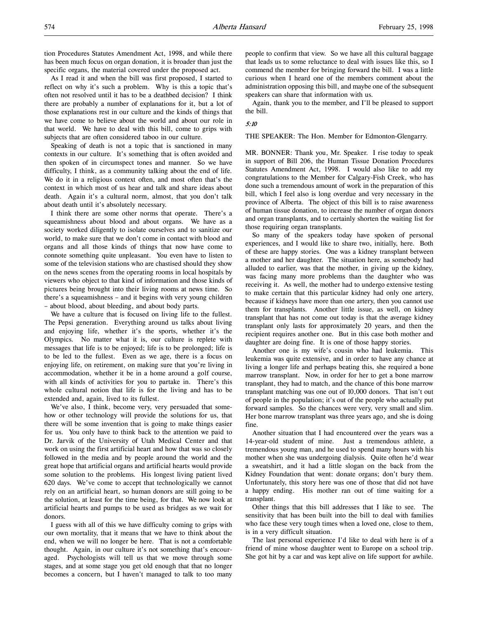tion Procedures Statutes Amendment Act, 1998, and while there has been much focus on organ donation, it is broader than just the specific organs, the material covered under the proposed act.

As I read it and when the bill was first proposed, I started to reflect on why it's such a problem. Why is this a topic that's often not resolved until it has to be a deathbed decision? I think there are probably a number of explanations for it, but a lot of those explanations rest in our culture and the kinds of things that we have come to believe about the world and about our role in that world. We have to deal with this bill, come to grips with subjects that are often considered taboo in our culture.

Speaking of death is not a topic that is sanctioned in many contexts in our culture. It's something that is often avoided and then spoken of in circumspect tones and manner. So we have difficulty, I think, as a community talking about the end of life. We do it in a religious context often, and most often that's the context in which most of us hear and talk and share ideas about death. Again it's a cultural norm, almost, that you don't talk about death until it's absolutely necessary.

I think there are some other norms that operate. There's a squeamishness about blood and about organs. We have as a society worked diligently to isolate ourselves and to sanitize our world, to make sure that we don't come in contact with blood and organs and all those kinds of things that now have come to connote something quite unpleasant. You even have to listen to some of the television stations who are chastised should they show on the news scenes from the operating rooms in local hospitals by viewers who object to that kind of information and those kinds of pictures being brought into their living rooms at news time. So there's a squeamishness – and it begins with very young children – about blood, about bleeding, and about body parts.

We have a culture that is focused on living life to the fullest. The Pepsi generation. Everything around us talks about living and enjoying life, whether it's the sports, whether it's the Olympics. No matter what it is, our culture is replete with messages that life is to be enjoyed; life is to be prolonged; life is to be led to the fullest. Even as we age, there is a focus on enjoying life, on retirement, on making sure that you're living in accommodation, whether it be in a home around a golf course, with all kinds of activities for you to partake in. There's this whole cultural notion that life is for the living and has to be extended and, again, lived to its fullest.

We've also, I think, become very, very persuaded that somehow or other technology will provide the solutions for us, that there will be some invention that is going to make things easier for us. You only have to think back to the attention we paid to Dr. Jarvik of the University of Utah Medical Center and that work on using the first artificial heart and how that was so closely followed in the media and by people around the world and the great hope that artificial organs and artificial hearts would provide some solution to the problems. His longest living patient lived 620 days. We've come to accept that technologically we cannot rely on an artificial heart, so human donors are still going to be the solution, at least for the time being, for that. We now look at artificial hearts and pumps to be used as bridges as we wait for donors.

I guess with all of this we have difficulty coming to grips with our own mortality, that it means that we have to think about the end, when we will no longer be here. That is not a comfortable thought. Again, in our culture it's not something that's encouraged. Psychologists will tell us that we move through some stages, and at some stage you get old enough that that no longer becomes a concern, but I haven't managed to talk to too many

people to confirm that view. So we have all this cultural baggage that leads us to some reluctance to deal with issues like this, so I commend the member for bringing forward the bill. I was a little curious when I heard one of the members comment about the administration opposing this bill, and maybe one of the subsequent speakers can share that information with us.

Again, thank you to the member, and I'll be pleased to support the bill.

### 5:10

THE SPEAKER: The Hon. Member for Edmonton-Glengarry.

MR. BONNER: Thank you, Mr. Speaker. I rise today to speak in support of Bill 206, the Human Tissue Donation Procedures Statutes Amendment Act, 1998. I would also like to add my congratulations to the Member for Calgary-Fish Creek, who has done such a tremendous amount of work in the preparation of this bill, which I feel also is long overdue and very necessary in the province of Alberta. The object of this bill is to raise awareness of human tissue donation, to increase the number of organ donors and organ transplants, and to certainly shorten the waiting list for those requiring organ transplants.

So many of the speakers today have spoken of personal experiences, and I would like to share two, initially, here. Both of these are happy stories. One was a kidney transplant between a mother and her daughter. The situation here, as somebody had alluded to earlier, was that the mother, in giving up the kidney, was facing many more problems than the daughter who was receiving it. As well, the mother had to undergo extensive testing to make certain that this particular kidney had only one artery, because if kidneys have more than one artery, then you cannot use them for transplants. Another little issue, as well, on kidney transplant that has not come out today is that the average kidney transplant only lasts for approximately 20 years, and then the recipient requires another one. But in this case both mother and daughter are doing fine. It is one of those happy stories.

Another one is my wife's cousin who had leukemia. This leukemia was quite extensive, and in order to have any chance at living a longer life and perhaps beating this, she required a bone marrow transplant. Now, in order for her to get a bone marrow transplant, they had to match, and the chance of this bone marrow transplant matching was one out of 10,000 donors. That isn't out of people in the population; it's out of the people who actually put forward samples. So the chances were very, very small and slim. Her bone marrow transplant was three years ago, and she is doing fine.

Another situation that I had encountered over the years was a 14-year-old student of mine. Just a tremendous athlete, a tremendous young man, and he used to spend many hours with his mother when she was undergoing dialysis. Quite often he'd wear a sweatshirt, and it had a little slogan on the back from the Kidney Foundation that went: donate organs; don't bury them. Unfortunately, this story here was one of those that did not have a happy ending. His mother ran out of time waiting for a transplant.

Other things that this bill addresses that I like to see. The sensitivity that has been built into the bill to deal with families who face these very tough times when a loved one, close to them, is in a very difficult situation.

The last personal experience I'd like to deal with here is of a friend of mine whose daughter went to Europe on a school trip. She got hit by a car and was kept alive on life support for awhile.